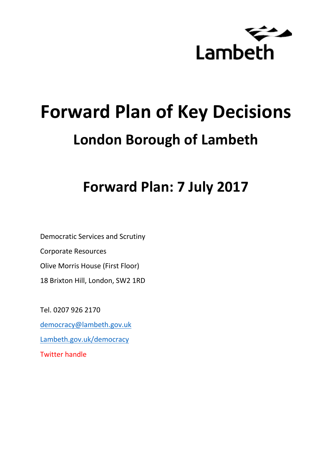

# **Forward Plan of Key Decisions London Borough of Lambeth**

**Forward Plan: 7 July 2017**

Democratic Services and Scrutiny Corporate Resources Olive Morris House (First Floor) 18 Brixton Hill, London, SW2 1RD

Tel. 0207 926 2170 [democracy@lambeth.gov.uk](mailto:democracy@lambeth.gov.uk) [Lambeth.gov.uk/democracy](https://www.lambeth.gov.uk/elections-and-council/meetings-minutes-and-agendas/getting-involved-in-decision-making-guide) Twitter handle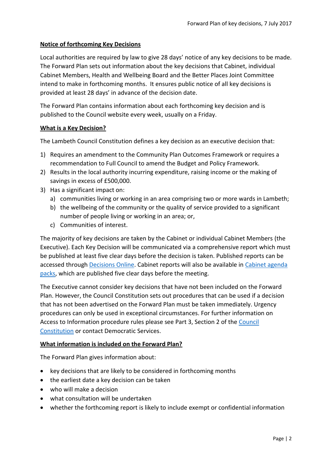#### **Notice of forthcoming Key Decisions**

Local authorities are required by law to give 28 days' notice of any key decisions to be made. The Forward Plan sets out information about the key decisions that Cabinet, individual Cabinet Members, Health and Wellbeing Board and the Better Places Joint Committee intend to make in forthcoming months. It ensures public notice of all key decisions is provided at least 28 days' in advance of the decision date.

The Forward Plan contains information about each forthcoming key decision and is published to the Council website every week, usually on a Friday.

#### **What is a Key Decision?**

The Lambeth Council Constitution defines a key decision as an executive decision that:

- 1) Requires an amendment to the Community Plan Outcomes Framework or requires a recommendation to Full Council to amend the Budget and Policy Framework.
- 2) Results in the local authority incurring expenditure, raising income or the making of savings in excess of £500,000.
- 3) Has a significant impact on:
	- a) communities living or working in an area comprising two or more wards in Lambeth;
	- b) the wellbeing of the community or the quality of service provided to a significant number of people living or working in an area; or,
	- c) Communities of interest.

The majority of key decisions are taken by the Cabinet or individual Cabinet Members (the Executive). Each Key Decision will be communicated via a comprehensive report which must be published at least five clear days before the decision is taken. Published reports can be accessed through [Decisions Online.](http://moderngov.lambeth.gov.uk/mgDelegatedDecisions.aspx?bcr=1&DM=0&DS=2&K=0&DR=&V=0) Cabinet reports will also be available in [Cabinet agenda](https://moderngov.lambeth.gov.uk/ieListMeetings.aspx?CommitteeId=225)  [packs,](https://moderngov.lambeth.gov.uk/ieListMeetings.aspx?CommitteeId=225) which are published five clear days before the meeting.

The Executive cannot consider key decisions that have not been included on the Forward Plan. However, the Council Constitution sets out procedures that can be used if a decision that has not been advertised on the Forward Plan must be taken immediately. Urgency procedures can only be used in exceptional circumstances. For further information on Access to Information procedure rules please see Part 3, Section 2 of the [Council](http://moderngov.lambeth.gov.uk/ieListMeetings.aspx?CId=738&info=1&MD=Constitution)  [Constitution](http://moderngov.lambeth.gov.uk/ieListMeetings.aspx?CId=738&info=1&MD=Constitution) or contact Democratic Services.

## **What information is included on the Forward Plan?**

The Forward Plan gives information about:

- key decisions that are likely to be considered in forthcoming months
- the earliest date a key decision can be taken
- who will make a decision
- what consultation will be undertaken
- whether the forthcoming report is likely to include exempt or confidential information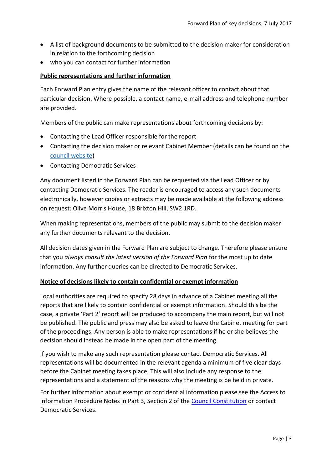- A list of background documents to be submitted to the decision maker for consideration in relation to the forthcoming decision
- who you can contact for further information

#### **Public representations and further information**

Each Forward Plan entry gives the name of the relevant officer to contact about that particular decision. Where possible, a contact name, e-mail address and telephone number are provided.

Members of the public can make representations about forthcoming decisions by:

- Contacting the Lead Officer responsible for the report
- Contacting the decision maker or relevant Cabinet Member (details can be found on the [council website\)](http://moderngov.lambeth.gov.uk/mgMemberIndex.aspx?bcr=1)
- Contacting Democratic Services

Any document listed in the Forward Plan can be requested via the Lead Officer or by contacting Democratic Services. The reader is encouraged to access any such documents electronically, however copies or extracts may be made available at the following address on request: Olive Morris House, 18 Brixton Hill, SW2 1RD.

When making representations, members of the public may submit to the decision maker any further documents relevant to the decision.

All decision dates given in the Forward Plan are subject to change. Therefore please ensure that you *always consult the latest version of the Forward Plan* for the most up to date information. Any further queries can be directed to Democratic Services.

#### **Notice of decisions likely to contain confidential or exempt information**

Local authorities are required to specify 28 days in advance of a Cabinet meeting all the reports that are likely to contain confidential or exempt information. Should this be the case, a private 'Part 2' report will be produced to accompany the main report, but will not be published. The public and press may also be asked to leave the Cabinet meeting for part of the proceedings. Any person is able to make representations if he or she believes the decision should instead be made in the open part of the meeting.

If you wish to make any such representation please contact Democratic Services. All representations will be documented in the relevant agenda a minimum of five clear days before the Cabinet meeting takes place. This will also include any response to the representations and a statement of the reasons why the meeting is be held in private.

For further information about exempt or confidential information please see the Access to Information Procedure Notes in Part 3, Section 2 of the [Council Constitution](http://www.lambeth.gov.uk/sites/default/files/ec-Council-Constitution-2014-15-approved-with-changes-November-2014.pdf) or contact Democratic Services.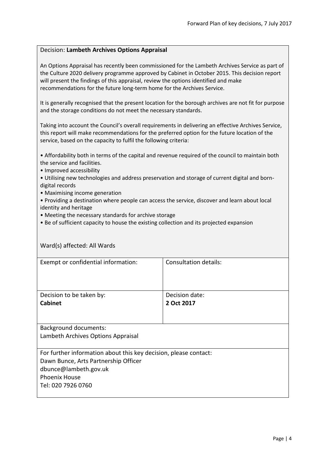#### Decision: **Lambeth Archives Options Appraisal**

An Options Appraisal has recently been commissioned for the Lambeth Archives Service as part of the Culture 2020 delivery programme approved by Cabinet in October 2015. This decision report will present the findings of this appraisal, review the options identified and make recommendations for the future long-term home for the Archives Service.

It is generally recognised that the present location for the borough archives are not fit for purpose and the storage conditions do not meet the necessary standards.

Taking into account the Council's overall requirements in delivering an effective Archives Service, this report will make recommendations for the preferred option for the future location of the service, based on the capacity to fulfil the following criteria:

• Affordability both in terms of the capital and revenue required of the council to maintain both the service and facilities.

• Improved accessibility

• Utilising new technologies and address preservation and storage of current digital and borndigital records

• Maximising income generation

• Providing a destination where people can access the service, discover and learn about local identity and heritage

• Meeting the necessary standards for archive storage

• Be of sufficient capacity to house the existing collection and its projected expansion

| Ward(s) affected: All Wards                                      |                              |
|------------------------------------------------------------------|------------------------------|
| Exempt or confidential information:                              | <b>Consultation details:</b> |
| Decision to be taken by:                                         | Decision date:               |
| <b>Cabinet</b>                                                   | 2 Oct 2017                   |
| <b>Background documents:</b>                                     |                              |
| Lambeth Archives Options Appraisal                               |                              |
| For further information about this key decision, please contact: |                              |
| Dawn Bunce, Arts Partnership Officer                             |                              |
| dbunce@lambeth.gov.uk                                            |                              |
| <b>Phoenix House</b>                                             |                              |
| Tel: 020 7926 0760                                               |                              |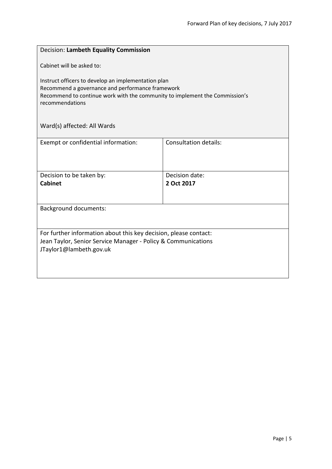| Decision: Lambeth Equality Commission                                                                                                                                                                     |                              |  |
|-----------------------------------------------------------------------------------------------------------------------------------------------------------------------------------------------------------|------------------------------|--|
| Cabinet will be asked to:                                                                                                                                                                                 |                              |  |
| Instruct officers to develop an implementation plan<br>Recommend a governance and performance framework<br>Recommend to continue work with the community to implement the Commission's<br>recommendations |                              |  |
| Ward(s) affected: All Wards                                                                                                                                                                               |                              |  |
| Exempt or confidential information:                                                                                                                                                                       | <b>Consultation details:</b> |  |
| Decision to be taken by:<br><b>Cabinet</b>                                                                                                                                                                | Decision date:<br>2 Oct 2017 |  |
| <b>Background documents:</b>                                                                                                                                                                              |                              |  |
| For further information about this key decision, please contact:<br>Jean Taylor, Senior Service Manager - Policy & Communications<br>JTaylor1@lambeth.gov.uk                                              |                              |  |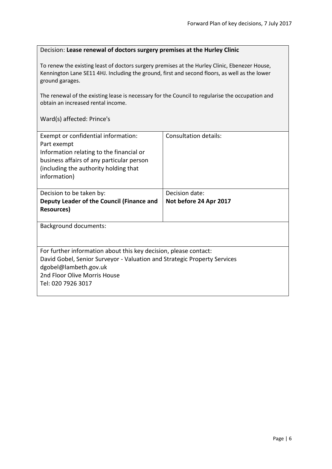#### Decision: **Lease renewal of doctors surgery premises at the Hurley Clinic**

To renew the existing least of doctors surgery premises at the Hurley Clinic, Ebenezer House, Kennington Lane SE11 4HJ. Including the ground, first and second floors, as well as the lower ground garages.

The renewal of the existing lease is necessary for the Council to regularise the occupation and obtain an increased rental income.

Ward(s) affected: Prince's

| Exempt or confidential information:                                      | Consultation details:  |
|--------------------------------------------------------------------------|------------------------|
|                                                                          |                        |
| Part exempt                                                              |                        |
| Information relating to the financial or                                 |                        |
| business affairs of any particular person                                |                        |
| (including the authority holding that                                    |                        |
| information)                                                             |                        |
|                                                                          |                        |
| Decision to be taken by:                                                 | Decision date:         |
| Deputy Leader of the Council (Finance and                                | Not before 24 Apr 2017 |
| Resources)                                                               |                        |
|                                                                          |                        |
|                                                                          |                        |
| <b>Background documents:</b>                                             |                        |
|                                                                          |                        |
|                                                                          |                        |
| For further information about this key decision, please contact:         |                        |
|                                                                          |                        |
| David Gobel, Senior Surveyor - Valuation and Strategic Property Services |                        |
| dgobel@lambeth.gov.uk                                                    |                        |
| 2nd Floor Olive Morris House                                             |                        |
| Tel: 020 7926 3017                                                       |                        |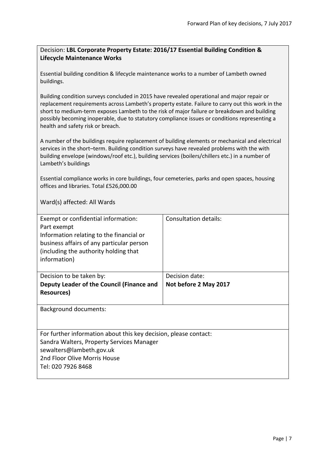# Decision: **LBL Corporate Property Estate: 2016/17 Essential Building Condition & Lifecycle Maintenance Works**

Essential building condition & lifecycle maintenance works to a number of Lambeth owned buildings.

Building condition surveys concluded in 2015 have revealed operational and major repair or replacement requirements across Lambeth's property estate. Failure to carry out this work in the short to medium-term exposes Lambeth to the risk of major failure or breakdown and building possibly becoming inoperable, due to statutory compliance issues or conditions representing a health and safety risk or breach.

A number of the buildings require replacement of building elements or mechanical and electrical services in the short–term. Building condition surveys have revealed problems with the with building envelope (windows/roof etc.), building services (boilers/chillers etc.) in a number of Lambeth's buildings

Essential compliance works in core buildings, four cemeteries, parks and open spaces, housing offices and libraries. Total £526,000.00

| Exempt or confidential information:<br>Part exempt<br>Information relating to the financial or<br>business affairs of any particular person<br>(including the authority holding that<br>information) | Consultation details:                   |
|------------------------------------------------------------------------------------------------------------------------------------------------------------------------------------------------------|-----------------------------------------|
| Decision to be taken by:<br>Deputy Leader of the Council (Finance and<br><b>Resources</b> )                                                                                                          | Decision date:<br>Not before 2 May 2017 |
| <b>Background documents:</b>                                                                                                                                                                         |                                         |
| For further information about this key decision, please contact:<br>Sandra Walters, Property Services Manager<br>sewalters@lambeth.gov.uk<br>2nd Floor Olive Morris House<br>Tel: 020 7926 8468      |                                         |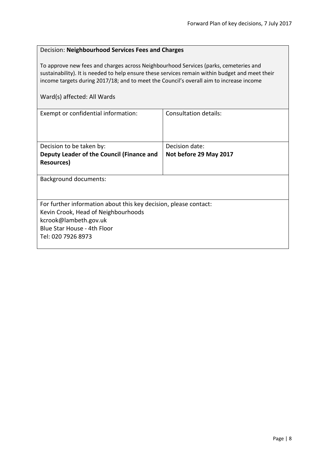| Decision: Neighbourhood Services Fees and Charges<br>To approve new fees and charges across Neighbourhood Services (parks, cemeteries and<br>sustainability). It is needed to help ensure these services remain within budget and meet their<br>income targets during 2017/18; and to meet the Council's overall aim to increase income |                        |                             |
|-----------------------------------------------------------------------------------------------------------------------------------------------------------------------------------------------------------------------------------------------------------------------------------------------------------------------------------------|------------------------|-----------------------------|
|                                                                                                                                                                                                                                                                                                                                         |                        | Ward(s) affected: All Wards |
| Exempt or confidential information:                                                                                                                                                                                                                                                                                                     | Consultation details:  |                             |
| Decision to be taken by:                                                                                                                                                                                                                                                                                                                | Decision date:         |                             |
| Deputy Leader of the Council (Finance and<br><b>Resources)</b>                                                                                                                                                                                                                                                                          | Not before 29 May 2017 |                             |
| <b>Background documents:</b>                                                                                                                                                                                                                                                                                                            |                        |                             |
| For further information about this key decision, please contact:                                                                                                                                                                                                                                                                        |                        |                             |
| Kevin Crook, Head of Neighbourhoods                                                                                                                                                                                                                                                                                                     |                        |                             |
| kcrook@lambeth.gov.uk                                                                                                                                                                                                                                                                                                                   |                        |                             |
| Blue Star House - 4th Floor                                                                                                                                                                                                                                                                                                             |                        |                             |
| Tel: 020 7926 8973                                                                                                                                                                                                                                                                                                                      |                        |                             |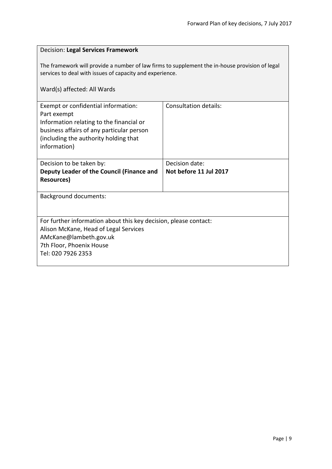# Decision: **Legal Services Framework**

The framework will provide a number of law firms to supplement the in-house provision of legal services to deal with issues of capacity and experience.

| Exempt or confidential information:<br>Part exempt<br>Information relating to the financial or<br>business affairs of any particular person<br>(including the authority holding that<br>information) | <b>Consultation details:</b> |
|------------------------------------------------------------------------------------------------------------------------------------------------------------------------------------------------------|------------------------------|
| Decision to be taken by:                                                                                                                                                                             | Decision date:               |
| Deputy Leader of the Council (Finance and                                                                                                                                                            | Not before 11 Jul 2017       |
| <b>Resources</b> )                                                                                                                                                                                   |                              |
| <b>Background documents:</b>                                                                                                                                                                         |                              |
| For further information about this key decision, please contact:                                                                                                                                     |                              |
| Alison McKane, Head of Legal Services                                                                                                                                                                |                              |
| AMcKane@lambeth.gov.uk                                                                                                                                                                               |                              |
| 7th Floor, Phoenix House                                                                                                                                                                             |                              |
| Tel: 020 7926 2353                                                                                                                                                                                   |                              |
|                                                                                                                                                                                                      |                              |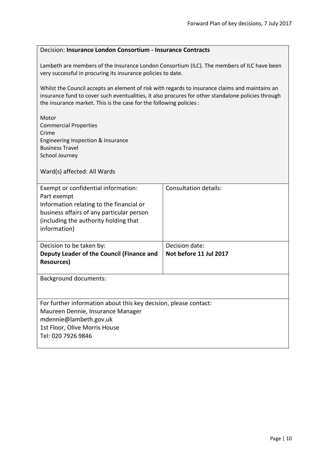## Decision: **Insurance London Consortium - Insurance Contracts**

Lambeth are members of the Insurance London Consortium (ILC). The members of ILC have been very successful in procuring its insurance policies to date.

Whilst the Council accepts an element of risk with regards to insurance claims and maintains an insurance fund to cover such eventualities, it also procures for other standalone policies through the insurance market. This is the case for the following policies :

| Motor<br><b>Commercial Properties</b><br>Crime<br>Engineering Inspection & Insurance<br><b>Business Travel</b><br>School Journey<br>Ward(s) affected: All Wards |                              |
|-----------------------------------------------------------------------------------------------------------------------------------------------------------------|------------------------------|
| Exempt or confidential information:                                                                                                                             | <b>Consultation details:</b> |
| Part exempt<br>Information relating to the financial or                                                                                                         |                              |
| business affairs of any particular person                                                                                                                       |                              |
| (including the authority holding that                                                                                                                           |                              |
| information)                                                                                                                                                    |                              |
| Decision to be taken by:                                                                                                                                        | Decision date:               |
| Deputy Leader of the Council (Finance and<br><b>Resources)</b>                                                                                                  | Not before 11 Jul 2017       |
| <b>Background documents:</b>                                                                                                                                    |                              |
|                                                                                                                                                                 |                              |
| For further information about this key decision, please contact:                                                                                                |                              |
| Maureen Dennie, Insurance Manager<br>mdennie@lambeth.gov.uk                                                                                                     |                              |
| 1st Floor, Olive Morris House                                                                                                                                   |                              |
| Tel: 020 7926 9846                                                                                                                                              |                              |
|                                                                                                                                                                 |                              |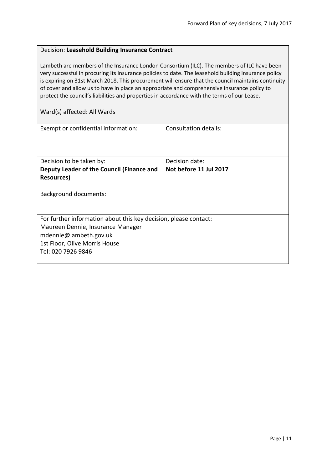#### Decision: **Leasehold Building Insurance Contract**

Lambeth are members of the Insurance London Consortium (ILC). The members of ILC have been very successful in procuring its insurance policies to date. The leasehold building insurance policy is expiring on 31st March 2018. This procurement will ensure that the council maintains continuity of cover and allow us to have in place an appropriate and comprehensive insurance policy to protect the council's liabilities and properties in accordance with the terms of our Lease.

| Exempt or confidential information:                              | Consultation details:  |
|------------------------------------------------------------------|------------------------|
|                                                                  |                        |
| Decision to be taken by:                                         | Decision date:         |
| Deputy Leader of the Council (Finance and                        | Not before 11 Jul 2017 |
| <b>Resources</b> )                                               |                        |
|                                                                  |                        |
| Background documents:                                            |                        |
|                                                                  |                        |
|                                                                  |                        |
| For further information about this key decision, please contact: |                        |
| Maureen Dennie, Insurance Manager                                |                        |
| mdennie@lambeth.gov.uk                                           |                        |
| 1st Floor, Olive Morris House                                    |                        |
| Tel: 020 7926 9846                                               |                        |
|                                                                  |                        |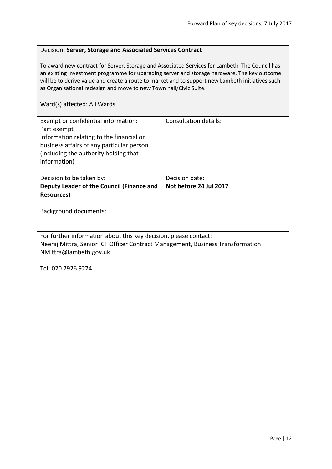#### Decision: **Server, Storage and Associated Services Contract**

To award new contract for Server, Storage and Associated Services for Lambeth. The Council has an existing investment programme for upgrading server and storage hardware. The key outcome will be to derive value and create a route to market and to support new Lambeth initiatives such as Organisational redesign and move to new Town hall/Civic Suite.

| Exempt or confidential information:<br>Part exempt<br>Information relating to the financial or<br>business affairs of any particular person<br>(including the authority holding that | Consultation details:  |  |
|--------------------------------------------------------------------------------------------------------------------------------------------------------------------------------------|------------------------|--|
| information)                                                                                                                                                                         |                        |  |
| Decision to be taken by:                                                                                                                                                             | Decision date:         |  |
| Deputy Leader of the Council (Finance and                                                                                                                                            | Not before 24 Jul 2017 |  |
| Resources)                                                                                                                                                                           |                        |  |
| <b>Background documents:</b>                                                                                                                                                         |                        |  |
|                                                                                                                                                                                      |                        |  |
| For further information about this key decision, please contact:                                                                                                                     |                        |  |
| Neeraj Mittra, Senior ICT Officer Contract Management, Business Transformation                                                                                                       |                        |  |
| NMittra@lambeth.gov.uk                                                                                                                                                               |                        |  |
| Tel: 020 7926 9274                                                                                                                                                                   |                        |  |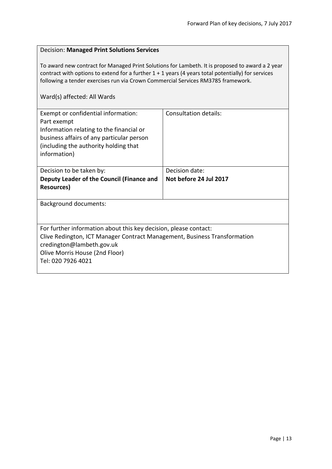# Decision: **Managed Print Solutions Services**

To award new contract for Managed Print Solutions for Lambeth. It is proposed to award a 2 year contract with options to extend for a further 1 + 1 years (4 years total potentially) for services following a tender exercises run via Crown Commercial Services RM3785 framework.

| Exempt or confidential information:<br>Part exempt<br>Information relating to the financial or<br>business affairs of any particular person<br>(including the authority holding that<br>information)                               | <b>Consultation details:</b> |
|------------------------------------------------------------------------------------------------------------------------------------------------------------------------------------------------------------------------------------|------------------------------|
| Decision to be taken by:                                                                                                                                                                                                           | Decision date:               |
| Deputy Leader of the Council (Finance and                                                                                                                                                                                          | Not before 24 Jul 2017       |
| <b>Resources</b> )                                                                                                                                                                                                                 |                              |
| <b>Background documents:</b>                                                                                                                                                                                                       |                              |
| For further information about this key decision, please contact:<br>Clive Redington, ICT Manager Contract Management, Business Transformation<br>credington@lambeth.gov.uk<br>Olive Morris House (2nd Floor)<br>Tel: 020 7926 4021 |                              |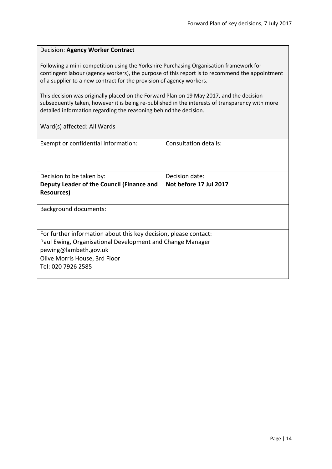#### Decision: **Agency Worker Contract**

Following a mini-competition using the Yorkshire Purchasing Organisation framework for contingent labour (agency workers), the purpose of this report is to recommend the appointment of a supplier to a new contract for the provision of agency workers.

This decision was originally placed on the Forward Plan on 19 May 2017, and the decision subsequently taken, however it is being re-published in the interests of transparency with more detailed information regarding the reasoning behind the decision.

| Exempt or confidential information:                              | Consultation details:  |
|------------------------------------------------------------------|------------------------|
| Decision to be taken by:                                         | Decision date:         |
| Deputy Leader of the Council (Finance and                        | Not before 17 Jul 2017 |
| Resources)                                                       |                        |
| Background documents:                                            |                        |
| For further information about this key decision, please contact: |                        |
| Paul Ewing, Organisational Development and Change Manager        |                        |
| pewing@lambeth.gov.uk                                            |                        |
| Olive Morris House, 3rd Floor                                    |                        |
| Tel: 020 7926 2585                                               |                        |
|                                                                  |                        |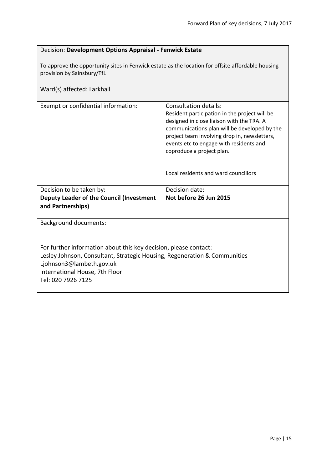| Decision: Development Options Appraisal - Fenwick Estate                                                                                                                                                                          |                                                                                                                                                                                                                                                                                                                                     |  |
|-----------------------------------------------------------------------------------------------------------------------------------------------------------------------------------------------------------------------------------|-------------------------------------------------------------------------------------------------------------------------------------------------------------------------------------------------------------------------------------------------------------------------------------------------------------------------------------|--|
| To approve the opportunity sites in Fenwick estate as the location for offsite affordable housing<br>provision by Sainsbury/TfL                                                                                                   |                                                                                                                                                                                                                                                                                                                                     |  |
| Ward(s) affected: Larkhall                                                                                                                                                                                                        |                                                                                                                                                                                                                                                                                                                                     |  |
| Exempt or confidential information:                                                                                                                                                                                               | Consultation details:<br>Resident participation in the project will be<br>designed in close liaison with the TRA. A<br>communications plan will be developed by the<br>project team involving drop in, newsletters,<br>events etc to engage with residents and<br>coproduce a project plan.<br>Local residents and ward councillors |  |
| Decision to be taken by:                                                                                                                                                                                                          | Decision date:                                                                                                                                                                                                                                                                                                                      |  |
| Deputy Leader of the Council (Investment<br>and Partnerships)                                                                                                                                                                     | Not before 26 Jun 2015                                                                                                                                                                                                                                                                                                              |  |
|                                                                                                                                                                                                                                   |                                                                                                                                                                                                                                                                                                                                     |  |
| <b>Background documents:</b>                                                                                                                                                                                                      |                                                                                                                                                                                                                                                                                                                                     |  |
| For further information about this key decision, please contact:<br>Lesley Johnson, Consultant, Strategic Housing, Regeneration & Communities<br>Ljohnson3@lambeth.gov.uk<br>International House, 7th Floor<br>Tel: 020 7926 7125 |                                                                                                                                                                                                                                                                                                                                     |  |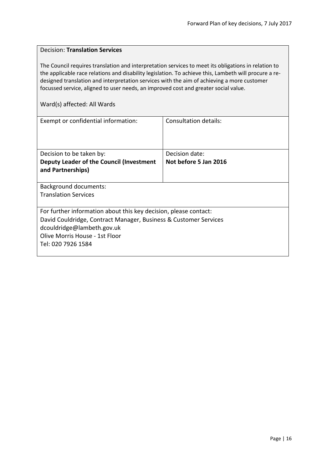# Decision: **Translation Services** The Council requires translation and interpretation services to meet its obligations in relation to the applicable race relations and disability legislation. To achieve this, Lambeth will procure a redesigned translation and interpretation services with the aim of achieving a more customer focussed service, aligned to user needs, an improved cost and greater social value. Ward(s) affected: All Wards Exempt or confidential information: Consultation details: Decision to be taken by: **Deputy Leader of the Council (Investment and Partnerships)** Decision date: **Not before 5 Jan 2016** Background documents: Translation Services For further information about this key decision, please contact: David Couldridge, Contract Manager, Business & Customer Services dcouldridge@lambeth.gov.uk Olive Morris House - 1st Floor Tel: 020 7926 1584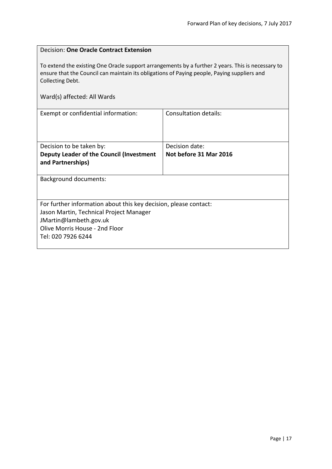| Decision: One Oracle Contract Extension                                                                                                                                                                                                             |                        |  |
|-----------------------------------------------------------------------------------------------------------------------------------------------------------------------------------------------------------------------------------------------------|------------------------|--|
| To extend the existing One Oracle support arrangements by a further 2 years. This is necessary to<br>ensure that the Council can maintain its obligations of Paying people, Paying suppliers and<br>Collecting Debt.<br>Ward(s) affected: All Wards |                        |  |
| <b>Consultation details:</b><br>Exempt or confidential information:                                                                                                                                                                                 |                        |  |
|                                                                                                                                                                                                                                                     |                        |  |
| Decision to be taken by:                                                                                                                                                                                                                            | Decision date:         |  |
| Deputy Leader of the Council (Investment                                                                                                                                                                                                            | Not before 31 Mar 2016 |  |
| and Partnerships)                                                                                                                                                                                                                                   |                        |  |
| <b>Background documents:</b>                                                                                                                                                                                                                        |                        |  |
|                                                                                                                                                                                                                                                     |                        |  |
| For further information about this key decision, please contact:                                                                                                                                                                                    |                        |  |
| Jason Martin, Technical Project Manager                                                                                                                                                                                                             |                        |  |
| JMartin@lambeth.gov.uk                                                                                                                                                                                                                              |                        |  |
| Olive Morris House - 2nd Floor                                                                                                                                                                                                                      |                        |  |
| Tel: 020 7926 6244                                                                                                                                                                                                                                  |                        |  |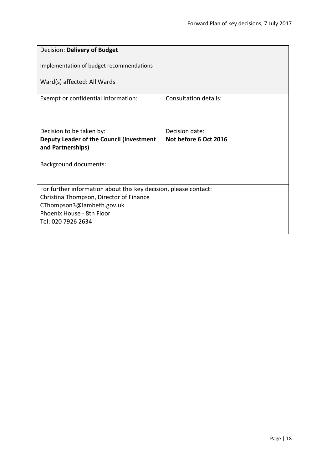| Decision: Delivery of Budget                                         |                                         |
|----------------------------------------------------------------------|-----------------------------------------|
| Implementation of budget recommendations                             |                                         |
| Ward(s) affected: All Wards                                          |                                         |
| Exempt or confidential information:                                  | <b>Consultation details:</b>            |
|                                                                      |                                         |
| Decision to be taken by:<br>Deputy Leader of the Council (Investment | Decision date:<br>Not before 6 Oct 2016 |
| and Partnerships)                                                    |                                         |
| Background documents:                                                |                                         |
|                                                                      |                                         |
| For further information about this key decision, please contact:     |                                         |
| Christina Thompson, Director of Finance<br>CThompson3@lambeth.gov.uk |                                         |
| Phoenix House - 8th Floor                                            |                                         |
| Tel: 020 7926 2634                                                   |                                         |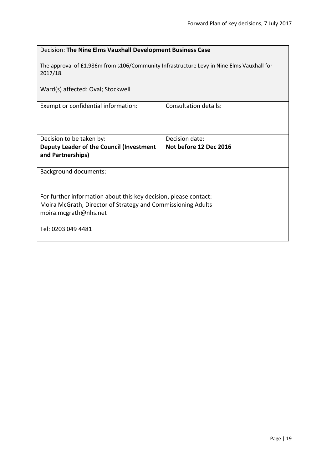| Decision: The Nine Elms Vauxhall Development Business Case                                            |                              |  |
|-------------------------------------------------------------------------------------------------------|------------------------------|--|
| The approval of £1.986m from s106/Community Infrastructure Levy in Nine Elms Vauxhall for<br>2017/18. |                              |  |
| Ward(s) affected: Oval; Stockwell                                                                     |                              |  |
| Exempt or confidential information:                                                                   | <b>Consultation details:</b> |  |
|                                                                                                       |                              |  |
| Decision to be taken by:                                                                              | Decision date:               |  |
| Deputy Leader of the Council (Investment                                                              | Not before 12 Dec 2016       |  |
| and Partnerships)                                                                                     |                              |  |
| <b>Background documents:</b>                                                                          |                              |  |
|                                                                                                       |                              |  |
| For further information about this key decision, please contact:                                      |                              |  |
| Moira McGrath, Director of Strategy and Commissioning Adults                                          |                              |  |
| moira.mcgrath@nhs.net                                                                                 |                              |  |
| Tel: 0203 049 4481                                                                                    |                              |  |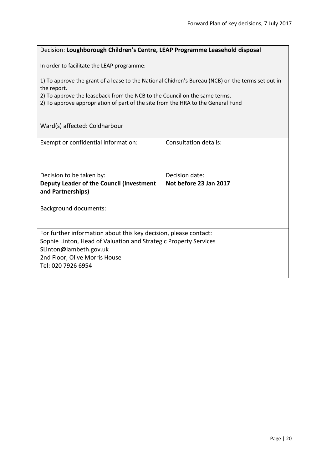#### Decision: **Loughborough Children's Centre, LEAP Programme Leasehold disposal**

In order to facilitate the LEAP programme:

1) To approve the grant of a lease to the National Chidren's Bureau (NCB) on the terms set out in the report.

2) To approve the leaseback from the NCB to the Council on the same terms.

2) To approve appropriation of part of the site from the HRA to the General Fund

Ward(s) affected: Coldharbour

| Exempt or confidential information:                              | Consultation details:  |  |
|------------------------------------------------------------------|------------------------|--|
| Decision to be taken by:                                         | Decision date:         |  |
| Deputy Leader of the Council (Investment                         | Not before 23 Jan 2017 |  |
| and Partnerships)                                                |                        |  |
|                                                                  |                        |  |
| Background documents:                                            |                        |  |
|                                                                  |                        |  |
| For further information about this key decision, please contact: |                        |  |
| Sophie Linton, Head of Valuation and Strategic Property Services |                        |  |
| SLinton@lambeth.gov.uk                                           |                        |  |
| 2nd Floor, Olive Morris House                                    |                        |  |
| Tel: 020 7926 6954                                               |                        |  |
|                                                                  |                        |  |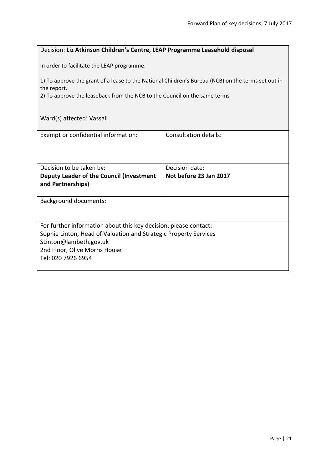# Decision: **Liz Atkinson Children's Centre, LEAP Programme Leasehold disposal**

In order to facilitate the LEAP programme:

1) To approve the grant of a lease to the National Children's Bureau (NCB) on the terms set out in the report.

2) To approve the leaseback from the NCB to the Council on the same terms

Ward(s) affected: Vassall

| Exempt or confidential information:                              | Consultation details:  |
|------------------------------------------------------------------|------------------------|
|                                                                  |                        |
|                                                                  |                        |
|                                                                  |                        |
|                                                                  |                        |
| Decision to be taken by:                                         | Decision date:         |
| Deputy Leader of the Council (Investment                         | Not before 23 Jan 2017 |
|                                                                  |                        |
| and Partnerships)                                                |                        |
|                                                                  |                        |
| <b>Background documents:</b>                                     |                        |
|                                                                  |                        |
|                                                                  |                        |
|                                                                  |                        |
| For further information about this key decision, please contact: |                        |
| Sophie Linton, Head of Valuation and Strategic Property Services |                        |
| SLinton@lambeth.gov.uk                                           |                        |
|                                                                  |                        |
| 2nd Floor, Olive Morris House                                    |                        |
| Tel: 020 7926 6954                                               |                        |
|                                                                  |                        |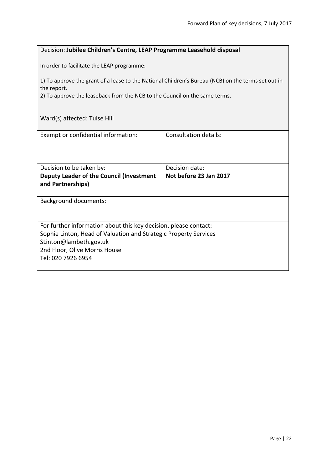# Decision: **Jubilee Children's Centre, LEAP Programme Leasehold disposal**

In order to facilitate the LEAP programme:

1) To approve the grant of a lease to the National Children's Bureau (NCB) on the terms set out in the report.

2) To approve the leaseback from the NCB to the Council on the same terms.

Ward(s) affected: Tulse Hill

| Exempt or confidential information:                                                                                                                                                                                   | Consultation details:                    |
|-----------------------------------------------------------------------------------------------------------------------------------------------------------------------------------------------------------------------|------------------------------------------|
| Decision to be taken by:<br>Deputy Leader of the Council (Investment<br>and Partnerships)                                                                                                                             | Decision date:<br>Not before 23 Jan 2017 |
| <b>Background documents:</b>                                                                                                                                                                                          |                                          |
| For further information about this key decision, please contact:<br>Sophie Linton, Head of Valuation and Strategic Property Services<br>SLinton@lambeth.gov.uk<br>2nd Floor, Olive Morris House<br>Tel: 020 7926 6954 |                                          |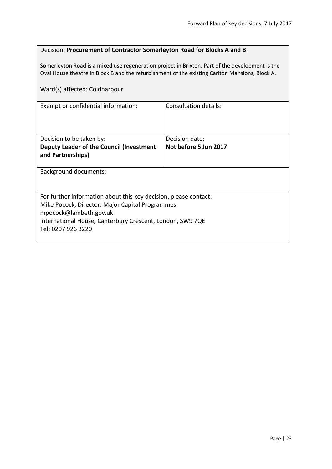# Decision: **Procurement of Contractor Somerleyton Road for Blocks A and B**

Somerleyton Road is a mixed use regeneration project in Brixton. Part of the development is the Oval House theatre in Block B and the refurbishment of the existing Carlton Mansions, Block A.

Ward(s) affected: Coldharbour

| Exempt or confidential information:                                                                                                                                                                                              | Consultation details: |  |
|----------------------------------------------------------------------------------------------------------------------------------------------------------------------------------------------------------------------------------|-----------------------|--|
| Decision to be taken by:                                                                                                                                                                                                         | Decision date:        |  |
| Deputy Leader of the Council (Investment<br>and Partnerships)                                                                                                                                                                    | Not before 5 Jun 2017 |  |
| Background documents:                                                                                                                                                                                                            |                       |  |
| For further information about this key decision, please contact:<br>Mike Pocock, Director: Major Capital Programmes<br>mpocock@lambeth.gov.uk<br>International House, Canterbury Crescent, London, SW9 7QE<br>Tel: 0207 926 3220 |                       |  |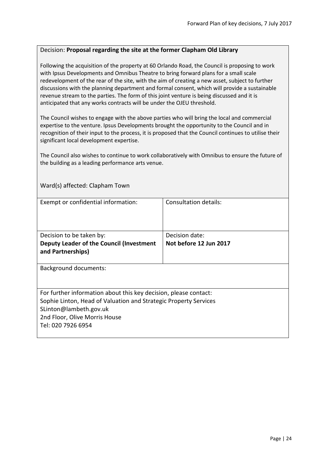#### Decision: **Proposal regarding the site at the former Clapham Old Library**

Following the acquisition of the property at 60 Orlando Road, the Council is proposing to work with Ipsus Developments and Omnibus Theatre to bring forward plans for a small scale redevelopment of the rear of the site, with the aim of creating a new asset, subject to further discussions with the planning department and formal consent, which will provide a sustainable revenue stream to the parties. The form of this joint venture is being discussed and it is anticipated that any works contracts will be under the OJEU threshold.

The Council wishes to engage with the above parties who will bring the local and commercial expertise to the venture. Ipsus Developments brought the opportunity to the Council and in recognition of their input to the process, it is proposed that the Council continues to utilise their significant local development expertise.

The Council also wishes to continue to work collaboratively with Omnibus to ensure the future of the building as a leading performance arts venue.

| Exempt or confidential information:                              | Consultation details:  |
|------------------------------------------------------------------|------------------------|
|                                                                  |                        |
|                                                                  |                        |
| Decision to be taken by:                                         | Decision date:         |
| Deputy Leader of the Council (Investment                         | Not before 12 Jun 2017 |
| and Partnerships)                                                |                        |
| Background documents:                                            |                        |
|                                                                  |                        |
|                                                                  |                        |
| For further information about this key decision, please contact: |                        |
| Sophie Linton, Head of Valuation and Strategic Property Services |                        |
| SLinton@lambeth.gov.uk                                           |                        |
| 2nd Floor, Olive Morris House                                    |                        |
| Tel: 020 7926 6954                                               |                        |
|                                                                  |                        |

Ward(s) affected: Clapham Town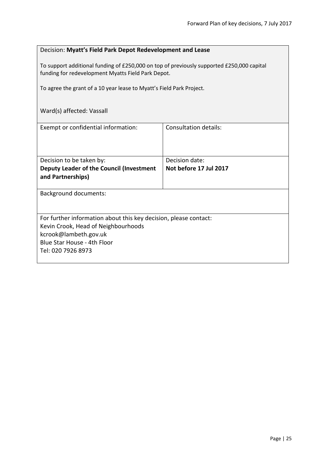| Decision: Myatt's Field Park Depot Redevelopment and Lease                                                                                      |                        |  |
|-------------------------------------------------------------------------------------------------------------------------------------------------|------------------------|--|
| To support additional funding of £250,000 on top of previously supported £250,000 capital<br>funding for redevelopment Myatts Field Park Depot. |                        |  |
| To agree the grant of a 10 year lease to Myatt's Field Park Project.                                                                            |                        |  |
| Ward(s) affected: Vassall                                                                                                                       |                        |  |
| Exempt or confidential information:                                                                                                             | Consultation details:  |  |
|                                                                                                                                                 |                        |  |
| Decision to be taken by:                                                                                                                        | Decision date:         |  |
| Deputy Leader of the Council (Investment<br>and Partnerships)                                                                                   | Not before 17 Jul 2017 |  |
| <b>Background documents:</b>                                                                                                                    |                        |  |
|                                                                                                                                                 |                        |  |
| For further information about this key decision, please contact:                                                                                |                        |  |
| Kevin Crook, Head of Neighbourhoods                                                                                                             |                        |  |
| kcrook@lambeth.gov.uk<br>Blue Star House - 4th Floor                                                                                            |                        |  |
| Tel: 020 7926 8973                                                                                                                              |                        |  |
|                                                                                                                                                 |                        |  |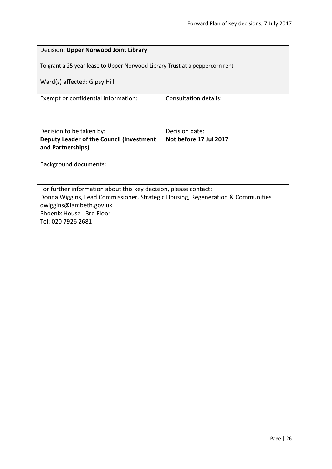| Decision: Upper Norwood Joint Library                                           |                              |  |
|---------------------------------------------------------------------------------|------------------------------|--|
| To grant a 25 year lease to Upper Norwood Library Trust at a peppercorn rent    |                              |  |
| Ward(s) affected: Gipsy Hill                                                    |                              |  |
| Exempt or confidential information:                                             | <b>Consultation details:</b> |  |
|                                                                                 |                              |  |
| Decision to be taken by:                                                        | Decision date:               |  |
| Deputy Leader of the Council (Investment                                        | Not before 17 Jul 2017       |  |
| and Partnerships)                                                               |                              |  |
|                                                                                 |                              |  |
| <b>Background documents:</b>                                                    |                              |  |
|                                                                                 |                              |  |
|                                                                                 |                              |  |
| For further information about this key decision, please contact:                |                              |  |
| Donna Wiggins, Lead Commissioner, Strategic Housing, Regeneration & Communities |                              |  |
| dwiggins@lambeth.gov.uk                                                         |                              |  |
| Phoenix House - 3rd Floor                                                       |                              |  |
| Tel: 020 7926 2681                                                              |                              |  |
|                                                                                 |                              |  |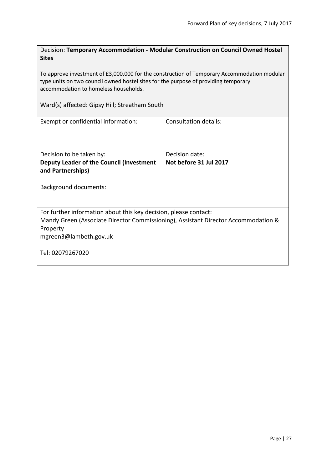| Decision: Temporary Accommodation - Modular Construction on Council Owned Hostel |
|----------------------------------------------------------------------------------|
| <b>Sites</b>                                                                     |
|                                                                                  |

To approve investment of £3,000,000 for the construction of Temporary Accommodation modular type units on two council owned hostel sites for the purpose of providing temporary accommodation to homeless households.

Ward(s) affected: Gipsy Hill; Streatham South

| Exempt or confidential information:                                                                                                                                                                              | Consultation details:                    |  |
|------------------------------------------------------------------------------------------------------------------------------------------------------------------------------------------------------------------|------------------------------------------|--|
| Decision to be taken by:<br>Deputy Leader of the Council (Investment<br>and Partnerships)                                                                                                                        | Decision date:<br>Not before 31 Jul 2017 |  |
| <b>Background documents:</b>                                                                                                                                                                                     |                                          |  |
| For further information about this key decision, please contact:<br>Mandy Green (Associate Director Commissioning), Assistant Director Accommodation &<br>Property<br>mgreen3@lambeth.gov.uk<br>Tel: 02079267020 |                                          |  |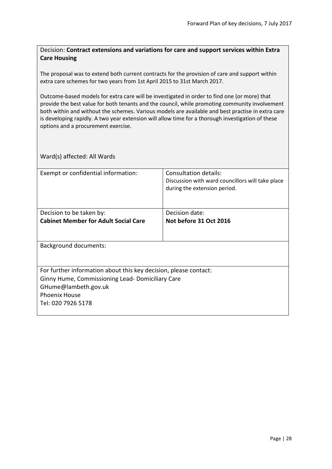## Decision: **Contract extensions and variations for care and support services within Extra Care Housing**

The proposal was to extend both current contracts for the provision of care and support within extra care schemes for two years from 1st April 2015 to 31st March 2017.

Outcome-based models for extra care will be investigated in order to find one (or more) that provide the best value for both tenants and the council, while promoting community involvement both within and without the schemes. Various models are available and best practise in extra care is developing rapidly. A two year extension will allow time for a thorough investigation of these options and a procurement exercise.

| Exempt or confidential information:                              | Consultation details:<br>Discussion with ward councillors will take place<br>during the extension period. |
|------------------------------------------------------------------|-----------------------------------------------------------------------------------------------------------|
|                                                                  |                                                                                                           |
| Decision to be taken by:                                         | Decision date:                                                                                            |
| <b>Cabinet Member for Adult Social Care</b>                      | Not before 31 Oct 2016                                                                                    |
|                                                                  |                                                                                                           |
| Background documents:                                            |                                                                                                           |
|                                                                  |                                                                                                           |
|                                                                  |                                                                                                           |
| For further information about this key decision, please contact: |                                                                                                           |
| Ginny Hume, Commissioning Lead-Domiciliary Care                  |                                                                                                           |
| GHume@lambeth.gov.uk                                             |                                                                                                           |
| <b>Phoenix House</b>                                             |                                                                                                           |
| Tel: 020 7926 5178                                               |                                                                                                           |
|                                                                  |                                                                                                           |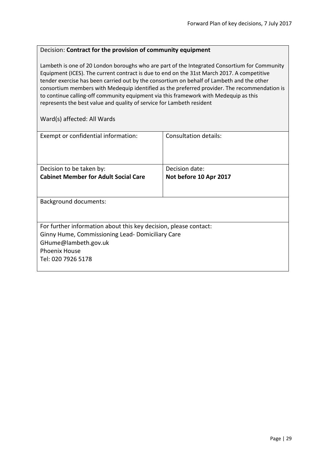#### Decision: **Contract for the provision of community equipment**

Lambeth is one of 20 London boroughs who are part of the Integrated Consortium for Community Equipment (ICES). The current contract is due to end on the 31st March 2017. A competitive tender exercise has been carried out by the consortium on behalf of Lambeth and the other consortium members with Medequip identified as the preferred provider. The recommendation is to continue calling-off community equipment via this framework with Medequip as this represents the best value and quality of service for Lambeth resident

| Exempt or confidential information:                              | Consultation details:  |  |
|------------------------------------------------------------------|------------------------|--|
| Decision to be taken by:                                         | Decision date:         |  |
| <b>Cabinet Member for Adult Social Care</b>                      | Not before 10 Apr 2017 |  |
|                                                                  |                        |  |
| <b>Background documents:</b>                                     |                        |  |
|                                                                  |                        |  |
| For further information about this key decision, please contact: |                        |  |
| Ginny Hume, Commissioning Lead-Domiciliary Care                  |                        |  |
| GHume@lambeth.gov.uk                                             |                        |  |
| <b>Phoenix House</b>                                             |                        |  |
| Tel: 020 7926 5178                                               |                        |  |
|                                                                  |                        |  |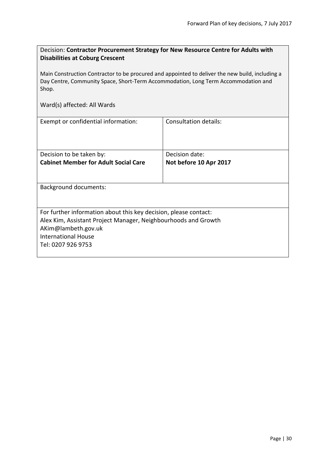| Decision: Contractor Procurement Strategy for New Resource Centre for Adults with<br><b>Disabilities at Coburg Crescent</b>                                                                    |                              |  |
|------------------------------------------------------------------------------------------------------------------------------------------------------------------------------------------------|------------------------------|--|
| Main Construction Contractor to be procured and appointed to deliver the new build, including a<br>Day Centre, Community Space, Short-Term Accommodation, Long Term Accommodation and<br>Shop. |                              |  |
| Ward(s) affected: All Wards                                                                                                                                                                    |                              |  |
| Exempt or confidential information:                                                                                                                                                            | <b>Consultation details:</b> |  |
| Decision to be taken by:                                                                                                                                                                       | Decision date:               |  |
| <b>Cabinet Member for Adult Social Care</b>                                                                                                                                                    | Not before 10 Apr 2017       |  |
| <b>Background documents:</b>                                                                                                                                                                   |                              |  |
| For further information about this key decision, please contact:                                                                                                                               |                              |  |
| Alex Kim, Assistant Project Manager, Neighbourhoods and Growth                                                                                                                                 |                              |  |
| AKim@lambeth.gov.uk<br><b>International House</b>                                                                                                                                              |                              |  |
| Tel: 0207 926 9753                                                                                                                                                                             |                              |  |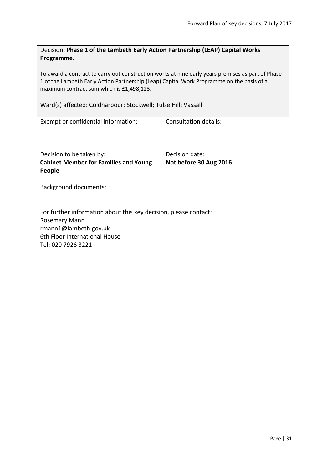| Decision: Phase 1 of the Lambeth Early Action Partnership (LEAP) Capital Works |
|--------------------------------------------------------------------------------|
| Programme.                                                                     |

To award a contract to carry out construction works at nine early years premises as part of Phase 1 of the Lambeth Early Action Partnership (Leap) Capital Work Programme on the basis of a maximum contract sum which is £1,498,123.

Ward(s) affected: Coldharbour; Stockwell; Tulse Hill; Vassall

| Exempt or confidential information:                                                                                                                                      | Consultation details:                    |  |
|--------------------------------------------------------------------------------------------------------------------------------------------------------------------------|------------------------------------------|--|
| Decision to be taken by:<br><b>Cabinet Member for Families and Young</b><br>People                                                                                       | Decision date:<br>Not before 30 Aug 2016 |  |
| <b>Background documents:</b>                                                                                                                                             |                                          |  |
| For further information about this key decision, please contact:<br><b>Rosemary Mann</b><br>rmann1@lambeth.gov.uk<br>6th Floor International House<br>Tel: 020 7926 3221 |                                          |  |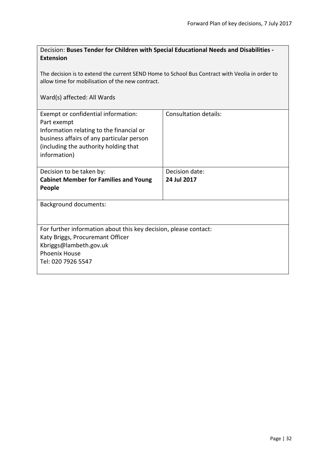# Decision: **Buses Tender for Children with Special Educational Needs and Disabilities - Extension**

The decision is to extend the current SEND Home to School Bus Contract with Veolia in order to allow time for mobilisation of the new contract.

| Exempt or confidential information:                              | <b>Consultation details:</b> |
|------------------------------------------------------------------|------------------------------|
| Part exempt                                                      |                              |
| Information relating to the financial or                         |                              |
| business affairs of any particular person                        |                              |
| (including the authority holding that                            |                              |
| information)                                                     |                              |
|                                                                  |                              |
| Decision to be taken by:                                         | Decision date:               |
| <b>Cabinet Member for Families and Young</b>                     | 24 Jul 2017                  |
| People                                                           |                              |
|                                                                  |                              |
| Background documents:                                            |                              |
|                                                                  |                              |
|                                                                  |                              |
| For further information about this key decision, please contact: |                              |
| Katy Briggs, Procuremant Officer                                 |                              |
| Kbriggs@lambeth.gov.uk                                           |                              |
| <b>Phoenix House</b>                                             |                              |
| Tel: 020 7926 5547                                               |                              |
|                                                                  |                              |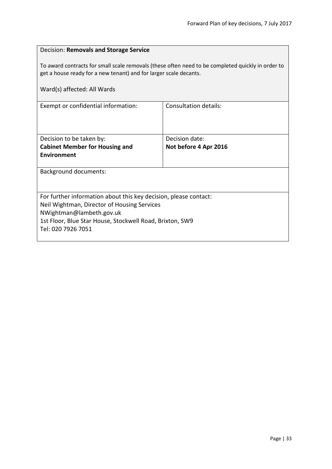| Decision: Removals and Storage Service                                                                                                                                 |                       |  |
|------------------------------------------------------------------------------------------------------------------------------------------------------------------------|-----------------------|--|
| To award contracts for small scale removals (these often need to be completed quickly in order to<br>get a house ready for a new tenant) and for larger scale decants. |                       |  |
| Ward(s) affected: All Wards                                                                                                                                            |                       |  |
| Exempt or confidential information:                                                                                                                                    | Consultation details: |  |
|                                                                                                                                                                        |                       |  |
| Decision to be taken by:                                                                                                                                               | Decision date:        |  |
| <b>Cabinet Member for Housing and</b>                                                                                                                                  | Not before 4 Apr 2016 |  |
| Environment                                                                                                                                                            |                       |  |
| <b>Background documents:</b>                                                                                                                                           |                       |  |
|                                                                                                                                                                        |                       |  |
| For further information about this key decision, please contact:                                                                                                       |                       |  |
| Neil Wightman, Director of Housing Services                                                                                                                            |                       |  |
| NWightman@lambeth.gov.uk<br>1st Floor, Blue Star House, Stockwell Road, Brixton, SW9                                                                                   |                       |  |
| Tel: 020 7926 7051                                                                                                                                                     |                       |  |
|                                                                                                                                                                        |                       |  |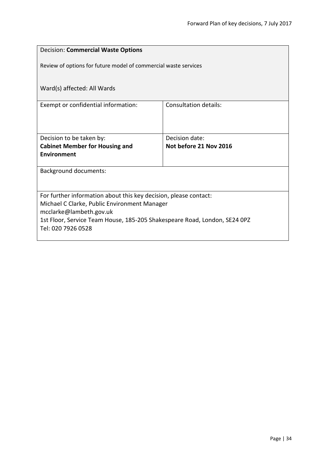| <b>Decision: Commercial Waste Options</b>                                                       |                              |  |
|-------------------------------------------------------------------------------------------------|------------------------------|--|
| Review of options for future model of commercial waste services                                 |                              |  |
| Ward(s) affected: All Wards                                                                     |                              |  |
| Exempt or confidential information:                                                             | <b>Consultation details:</b> |  |
|                                                                                                 |                              |  |
| Decision to be taken by:                                                                        | Decision date:               |  |
| <b>Cabinet Member for Housing and</b>                                                           | Not before 21 Nov 2016       |  |
| Environment                                                                                     |                              |  |
| <b>Background documents:</b>                                                                    |                              |  |
|                                                                                                 |                              |  |
| For further information about this key decision, please contact:                                |                              |  |
| Michael C Clarke, Public Environment Manager                                                    |                              |  |
| mcclarke@lambeth.gov.uk                                                                         |                              |  |
| 1st Floor, Service Team House, 185-205 Shakespeare Road, London, SE24 0PZ<br>Tel: 020 7926 0528 |                              |  |
|                                                                                                 |                              |  |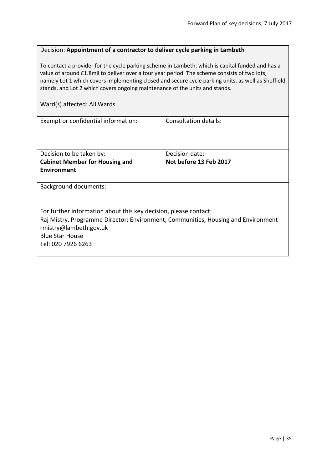#### Decision: **Appointment of a contractor to deliver cycle parking in Lambeth**

To contact a provider for the cycle parking scheme in Lambeth, which is capital funded and has a value of around £1.8mil to deliver over a four year period. The scheme consists of two lots, namely Lot 1 which covers implementing closed and secure cycle parking units, as well as Sheffield stands, and Lot 2 which covers ongoing maintenance of the units and stands.

| Exempt or confidential information:                                               | Consultation details:  |
|-----------------------------------------------------------------------------------|------------------------|
| Decision to be taken by:                                                          | Decision date:         |
| <b>Cabinet Member for Housing and</b>                                             | Not before 13 Feb 2017 |
| Environment                                                                       |                        |
| <b>Background documents:</b>                                                      |                        |
| For further information about this key decision, please contact:                  |                        |
| Raj Mistry, Programme Director: Environment, Communities, Housing and Environment |                        |
| rmistry@lambeth.gov.uk                                                            |                        |
| <b>Blue Star House</b>                                                            |                        |
| Tel: 020 7926 6263                                                                |                        |
|                                                                                   |                        |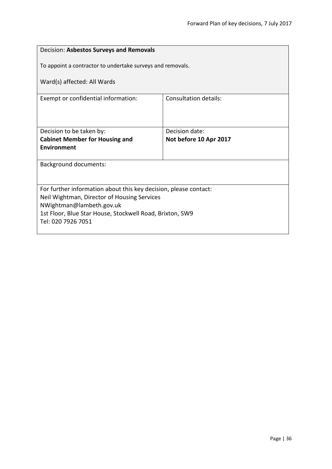| Decision: Asbestos Surveys and Removals                                                                         |                                          |  |
|-----------------------------------------------------------------------------------------------------------------|------------------------------------------|--|
| To appoint a contractor to undertake surveys and removals.                                                      |                                          |  |
| Ward(s) affected: All Wards                                                                                     |                                          |  |
| Exempt or confidential information:                                                                             | <b>Consultation details:</b>             |  |
|                                                                                                                 |                                          |  |
| Decision to be taken by:<br><b>Cabinet Member for Housing and</b>                                               | Decision date:<br>Not before 10 Apr 2017 |  |
| <b>Environment</b>                                                                                              |                                          |  |
| <b>Background documents:</b>                                                                                    |                                          |  |
|                                                                                                                 |                                          |  |
| For further information about this key decision, please contact:<br>Neil Wightman, Director of Housing Services |                                          |  |
| NWightman@lambeth.gov.uk                                                                                        |                                          |  |
| 1st Floor, Blue Star House, Stockwell Road, Brixton, SW9<br>Tel: 020 7926 7051                                  |                                          |  |
|                                                                                                                 |                                          |  |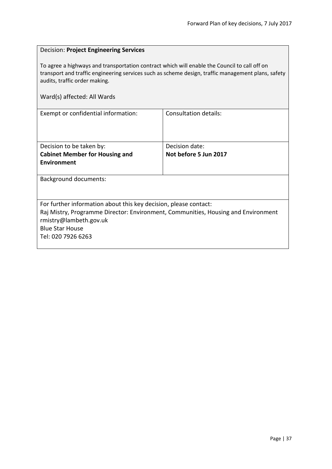| <b>Decision: Project Engineering Services</b>                                                                                                                                                                                                                      |                              |  |
|--------------------------------------------------------------------------------------------------------------------------------------------------------------------------------------------------------------------------------------------------------------------|------------------------------|--|
| To agree a highways and transportation contract which will enable the Council to call off on<br>transport and traffic engineering services such as scheme design, traffic management plans, safety<br>audits, traffic order making.<br>Ward(s) affected: All Wards |                              |  |
| Exempt or confidential information:                                                                                                                                                                                                                                | <b>Consultation details:</b> |  |
|                                                                                                                                                                                                                                                                    |                              |  |
| Decision to be taken by:                                                                                                                                                                                                                                           | Decision date:               |  |
| <b>Cabinet Member for Housing and</b>                                                                                                                                                                                                                              | Not before 5 Jun 2017        |  |
| Environment                                                                                                                                                                                                                                                        |                              |  |
| <b>Background documents:</b>                                                                                                                                                                                                                                       |                              |  |
|                                                                                                                                                                                                                                                                    |                              |  |
| For further information about this key decision, please contact:                                                                                                                                                                                                   |                              |  |
| Raj Mistry, Programme Director: Environment, Communities, Housing and Environment                                                                                                                                                                                  |                              |  |
| rmistry@lambeth.gov.uk                                                                                                                                                                                                                                             |                              |  |
| <b>Blue Star House</b>                                                                                                                                                                                                                                             |                              |  |
| Tel: 020 7926 6263                                                                                                                                                                                                                                                 |                              |  |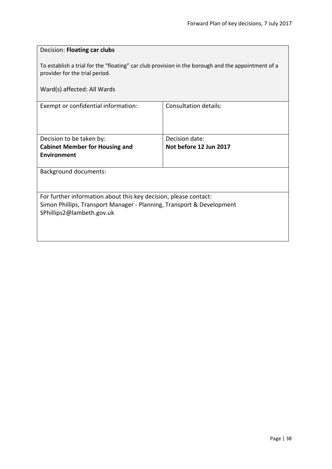| Decision: Floating car clubs                                                                                                         |                              |  |
|--------------------------------------------------------------------------------------------------------------------------------------|------------------------------|--|
| To establish a trial for the "floating" car club provision in the borough and the appointment of a<br>provider for the trial period. |                              |  |
| Ward(s) affected: All Wards                                                                                                          |                              |  |
| Exempt or confidential information:                                                                                                  | <b>Consultation details:</b> |  |
|                                                                                                                                      |                              |  |
| Decision to be taken by:                                                                                                             | Decision date:               |  |
| <b>Cabinet Member for Housing and</b>                                                                                                | Not before 12 Jun 2017       |  |
| <b>Environment</b>                                                                                                                   |                              |  |
| <b>Background documents:</b>                                                                                                         |                              |  |
|                                                                                                                                      |                              |  |
| For further information about this key decision, please contact:                                                                     |                              |  |
| Simon Phillips, Transport Manager - Planning, Transport & Development                                                                |                              |  |
| SPhillips2@lambeth.gov.uk                                                                                                            |                              |  |
|                                                                                                                                      |                              |  |
|                                                                                                                                      |                              |  |
|                                                                                                                                      |                              |  |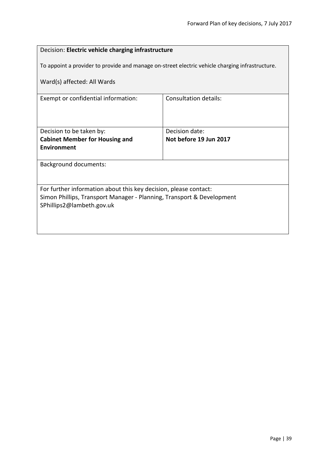| Decision: Electric vehicle charging infrastructure                    |                                                                                                 |  |
|-----------------------------------------------------------------------|-------------------------------------------------------------------------------------------------|--|
|                                                                       | To appoint a provider to provide and manage on-street electric vehicle charging infrastructure. |  |
| Ward(s) affected: All Wards                                           |                                                                                                 |  |
| Exempt or confidential information:                                   | <b>Consultation details:</b>                                                                    |  |
|                                                                       |                                                                                                 |  |
| Decision to be taken by:                                              | Decision date:                                                                                  |  |
| <b>Cabinet Member for Housing and</b>                                 | Not before 19 Jun 2017                                                                          |  |
| Environment                                                           |                                                                                                 |  |
| <b>Background documents:</b>                                          |                                                                                                 |  |
|                                                                       |                                                                                                 |  |
| For further information about this key decision, please contact:      |                                                                                                 |  |
| Simon Phillips, Transport Manager - Planning, Transport & Development |                                                                                                 |  |
| SPhillips2@lambeth.gov.uk                                             |                                                                                                 |  |
|                                                                       |                                                                                                 |  |
|                                                                       |                                                                                                 |  |
|                                                                       |                                                                                                 |  |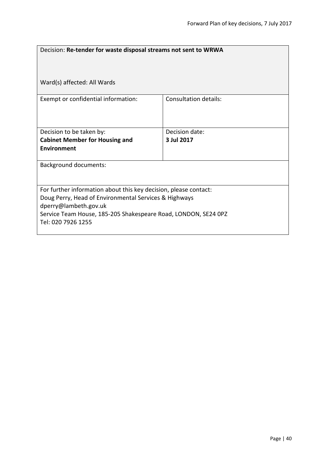| Decision: Re-tender for waste disposal streams not sent to WRWA  |                              |  |
|------------------------------------------------------------------|------------------------------|--|
| Ward(s) affected: All Wards                                      |                              |  |
| Exempt or confidential information:                              | <b>Consultation details:</b> |  |
| Decision to be taken by:                                         | Decision date:               |  |
| <b>Cabinet Member for Housing and</b>                            | 3 Jul 2017                   |  |
| <b>Environment</b>                                               |                              |  |
| <b>Background documents:</b>                                     |                              |  |
| For further information about this key decision, please contact: |                              |  |
| Doug Perry, Head of Environmental Services & Highways            |                              |  |
| dperry@lambeth.gov.uk                                            |                              |  |
| Service Team House, 185-205 Shakespeare Road, LONDON, SE24 OPZ   |                              |  |
| Tel: 020 7926 1255                                               |                              |  |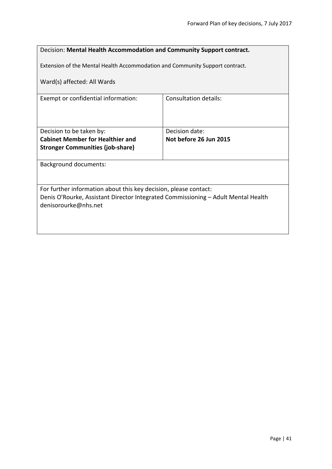| Decision: Mental Health Accommodation and Community Support contract.                                                                                 |                                                                              |  |
|-------------------------------------------------------------------------------------------------------------------------------------------------------|------------------------------------------------------------------------------|--|
|                                                                                                                                                       | Extension of the Mental Health Accommodation and Community Support contract. |  |
| Ward(s) affected: All Wards                                                                                                                           |                                                                              |  |
| Exempt or confidential information:                                                                                                                   | Consultation details:                                                        |  |
|                                                                                                                                                       |                                                                              |  |
| Decision to be taken by:                                                                                                                              | Decision date:                                                               |  |
| <b>Cabinet Member for Healthier and</b>                                                                                                               | Not before 26 Jun 2015                                                       |  |
| <b>Stronger Communities (job-share)</b>                                                                                                               |                                                                              |  |
| <b>Background documents:</b>                                                                                                                          |                                                                              |  |
|                                                                                                                                                       |                                                                              |  |
|                                                                                                                                                       |                                                                              |  |
| For further information about this key decision, please contact:<br>Denis O'Rourke, Assistant Director Integrated Commissioning - Adult Mental Health |                                                                              |  |
| denisorourke@nhs.net                                                                                                                                  |                                                                              |  |
|                                                                                                                                                       |                                                                              |  |
|                                                                                                                                                       |                                                                              |  |
|                                                                                                                                                       |                                                                              |  |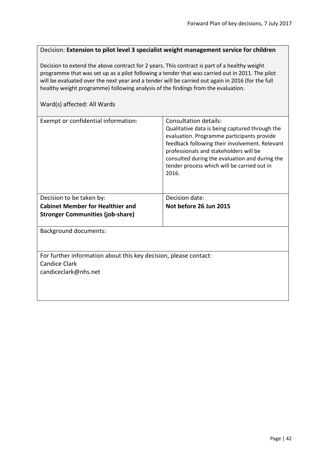#### Decision: **Extension to pilot level 3 specialist weight management service for children**

Decision to extend the above contract for 2 years. This contract is part of a healthy weight programme that was set up as a pilot following a tender that was carried out in 2011. The pilot will be evaluated over the next year and a tender will be carried out again in 2016 (for the full healthy weight programme) following analysis of the findings from the evaluation.

| Exempt or confidential information:                                                                              | Consultation details:<br>Qualitative data is being captured through the<br>evaluation. Programme participants provide<br>feedback following their involvement. Relevant<br>professionals and stakeholders will be<br>consulted during the evaluation and during the<br>tender process which will be carried out in<br>2016. |
|------------------------------------------------------------------------------------------------------------------|-----------------------------------------------------------------------------------------------------------------------------------------------------------------------------------------------------------------------------------------------------------------------------------------------------------------------------|
| Decision to be taken by:<br><b>Cabinet Member for Healthier and</b><br><b>Stronger Communities (job-share)</b>   | Decision date:<br>Not before 26 Jun 2015                                                                                                                                                                                                                                                                                    |
| <b>Background documents:</b>                                                                                     |                                                                                                                                                                                                                                                                                                                             |
| For further information about this key decision, please contact:<br><b>Candice Clark</b><br>candiceclark@nhs.net |                                                                                                                                                                                                                                                                                                                             |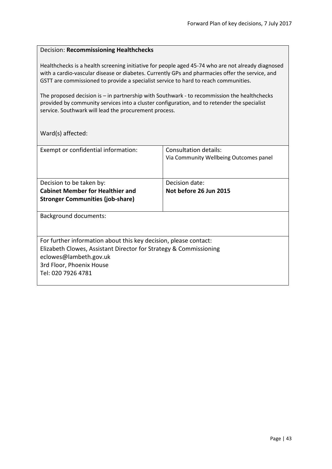#### Decision: **Recommissioning Healthchecks**

Healthchecks is a health screening initiative for people aged 45-74 who are not already diagnosed with a cardio-vascular disease or diabetes. Currently GPs and pharmacies offer the service, and GSTT are commissioned to provide a specialist service to hard to reach communities.

The proposed decision is – in partnership with Southwark - to recommission the healthchecks provided by community services into a cluster configuration, and to retender the specialist service. Southwark will lead the procurement process.

Ward(s) affected:

| Exempt or confidential information:                               | Consultation details:                  |
|-------------------------------------------------------------------|----------------------------------------|
|                                                                   | Via Community Wellbeing Outcomes panel |
|                                                                   |                                        |
|                                                                   | Decision date:                         |
| Decision to be taken by:                                          |                                        |
| <b>Cabinet Member for Healthier and</b>                           | Not before 26 Jun 2015                 |
| <b>Stronger Communities (job-share)</b>                           |                                        |
|                                                                   |                                        |
| Background documents:                                             |                                        |
|                                                                   |                                        |
|                                                                   |                                        |
| For further information about this key decision, please contact:  |                                        |
| Elizabeth Clowes, Assistant Director for Strategy & Commissioning |                                        |
| eclowes@lambeth.gov.uk                                            |                                        |
| 3rd Floor, Phoenix House                                          |                                        |
| Tel: 020 7926 4781                                                |                                        |
|                                                                   |                                        |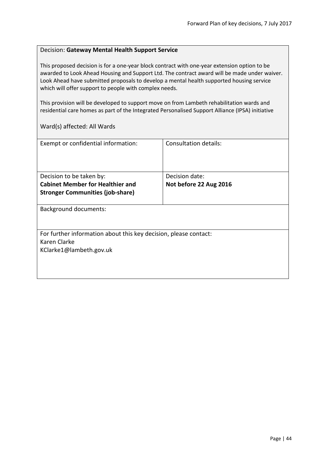#### Decision: **Gateway Mental Health Support Service**

This proposed decision is for a one-year block contract with one-year extension option to be awarded to Look Ahead Housing and Support Ltd. The contract award will be made under waiver. Look Ahead have submitted proposals to develop a mental health supported housing service which will offer support to people with complex needs.

This provision will be developed to support move on from Lambeth rehabilitation wards and residential care homes as part of the Integrated Personalised Support Alliance (IPSA) initiative

| Exempt or confidential information:                              | Consultation details:  |
|------------------------------------------------------------------|------------------------|
|                                                                  |                        |
| Decision to be taken by:                                         | Decision date:         |
| <b>Cabinet Member for Healthier and</b>                          | Not before 22 Aug 2016 |
| <b>Stronger Communities (job-share)</b>                          |                        |
|                                                                  |                        |
| <b>Background documents:</b>                                     |                        |
|                                                                  |                        |
|                                                                  |                        |
| For further information about this key decision, please contact: |                        |
| Karen Clarke                                                     |                        |
| KClarke1@lambeth.gov.uk                                          |                        |
|                                                                  |                        |
|                                                                  |                        |
|                                                                  |                        |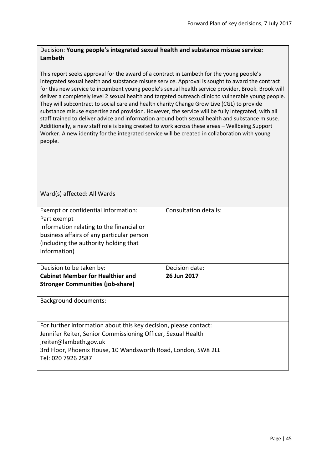## Decision: **Young people's integrated sexual health and substance misuse service: Lambeth**

This report seeks approval for the award of a contract in Lambeth for the young people's integrated sexual health and substance misuse service. Approval is sought to award the contract for this new service to incumbent young people's sexual health service provider, Brook. Brook will deliver a completely level 2 sexual health and targeted outreach clinic to vulnerable young people. They will subcontract to social care and health charity Change Grow Live (CGL) to provide substance misuse expertise and provision. However, the service will be fully integrated, with all staff trained to deliver advice and information around both sexual health and substance misuse. Additionally, a new staff role is being created to work across these areas – Wellbeing Support Worker. A new identity for the integrated service will be created in collaboration with young people.

| Exempt or confidential information:                              | Consultation details: |
|------------------------------------------------------------------|-----------------------|
| Part exempt                                                      |                       |
| Information relating to the financial or                         |                       |
| business affairs of any particular person                        |                       |
| (including the authority holding that                            |                       |
| information)                                                     |                       |
|                                                                  |                       |
| Decision to be taken by:                                         | Decision date:        |
| <b>Cabinet Member for Healthier and</b>                          | 26 Jun 2017           |
| <b>Stronger Communities (job-share)</b>                          |                       |
|                                                                  |                       |
|                                                                  |                       |
| Background documents:                                            |                       |
|                                                                  |                       |
|                                                                  |                       |
| For further information about this key decision, please contact: |                       |
| Jennifer Reiter, Senior Commissioning Officer, Sexual Health     |                       |
| jreiter@lambeth.gov.uk                                           |                       |
| 3rd Floor, Phoenix House, 10 Wandsworth Road, London, SW8 2LL    |                       |
| Tel: 020 7926 2587                                               |                       |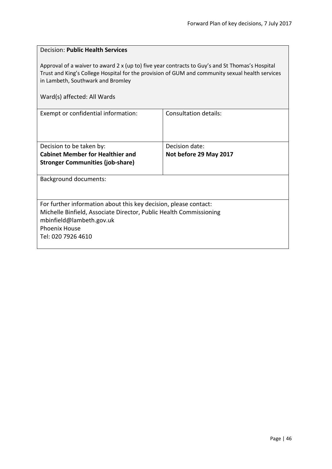| <b>Decision: Public Health Services</b>                                                                                                                                                                                                                                |                              |  |
|------------------------------------------------------------------------------------------------------------------------------------------------------------------------------------------------------------------------------------------------------------------------|------------------------------|--|
| Approval of a waiver to award 2 x (up to) five year contracts to Guy's and St Thomas's Hospital<br>Trust and King's College Hospital for the provision of GUM and community sexual health services<br>in Lambeth, Southwark and Bromley<br>Ward(s) affected: All Wards |                              |  |
| Exempt or confidential information:                                                                                                                                                                                                                                    | <b>Consultation details:</b> |  |
|                                                                                                                                                                                                                                                                        |                              |  |
| Decision to be taken by:                                                                                                                                                                                                                                               | Decision date:               |  |
| <b>Cabinet Member for Healthier and</b>                                                                                                                                                                                                                                | Not before 29 May 2017       |  |
| <b>Stronger Communities (job-share)</b>                                                                                                                                                                                                                                |                              |  |
| <b>Background documents:</b>                                                                                                                                                                                                                                           |                              |  |
|                                                                                                                                                                                                                                                                        |                              |  |
| For further information about this key decision, please contact:                                                                                                                                                                                                       |                              |  |
| Michelle Binfield, Associate Director, Public Health Commissioning                                                                                                                                                                                                     |                              |  |
| mbinfield@lambeth.gov.uk<br><b>Phoenix House</b>                                                                                                                                                                                                                       |                              |  |
| Tel: 020 7926 4610                                                                                                                                                                                                                                                     |                              |  |
|                                                                                                                                                                                                                                                                        |                              |  |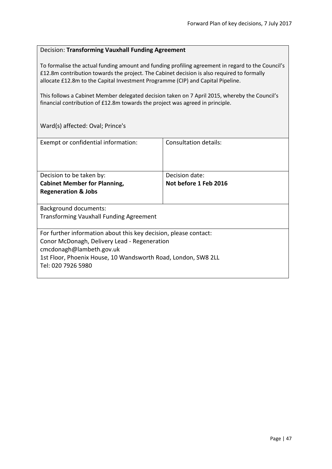#### Decision: **Transforming Vauxhall Funding Agreement**

To formalise the actual funding amount and funding profiling agreement in regard to the Council's £12.8m contribution towards the project. The Cabinet decision is also required to formally allocate £12.8m to the Capital Investment Programme (CIP) and Capital Pipeline.

This follows a Cabinet Member delegated decision taken on 7 April 2015, whereby the Council's financial contribution of £12.8m towards the project was agreed in principle.

Ward(s) affected: Oval; Prince's

| Exempt or confidential information:                              | Consultation details: |
|------------------------------------------------------------------|-----------------------|
|                                                                  |                       |
| Decision to be taken by:                                         | Decision date:        |
| <b>Cabinet Member for Planning,</b>                              | Not before 1 Feb 2016 |
| <b>Regeneration &amp; Jobs</b>                                   |                       |
|                                                                  |                       |
| <b>Background documents:</b>                                     |                       |
| <b>Transforming Vauxhall Funding Agreement</b>                   |                       |
|                                                                  |                       |
| For further information about this key decision, please contact: |                       |
| Conor McDonagh, Delivery Lead - Regeneration                     |                       |
| cmcdonagh@lambeth.gov.uk                                         |                       |
| 1st Floor, Phoenix House, 10 Wandsworth Road, London, SW8 2LL    |                       |
| Tel: 020 7926 5980                                               |                       |
|                                                                  |                       |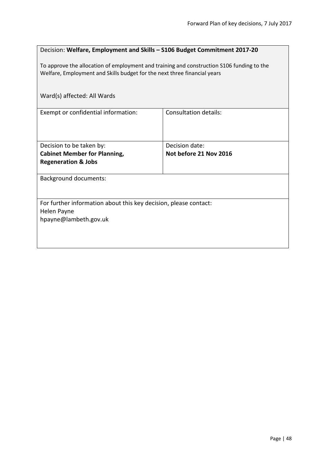| Decision: Welfare, Employment and Skills - S106 Budget Commitment 2017-20                                                                                             |                              |  |
|-----------------------------------------------------------------------------------------------------------------------------------------------------------------------|------------------------------|--|
| To approve the allocation of employment and training and construction S106 funding to the<br>Welfare, Employment and Skills budget for the next three financial years |                              |  |
| Ward(s) affected: All Wards                                                                                                                                           |                              |  |
| Exempt or confidential information:                                                                                                                                   | <b>Consultation details:</b> |  |
| Decision to be taken by:                                                                                                                                              | Decision date:               |  |
| <b>Cabinet Member for Planning,</b>                                                                                                                                   | Not before 21 Nov 2016       |  |
| <b>Regeneration &amp; Jobs</b>                                                                                                                                        |                              |  |
| <b>Background documents:</b>                                                                                                                                          |                              |  |
| For further information about this key decision, please contact:<br>Helen Payne<br>hpayne@lambeth.gov.uk                                                              |                              |  |
|                                                                                                                                                                       |                              |  |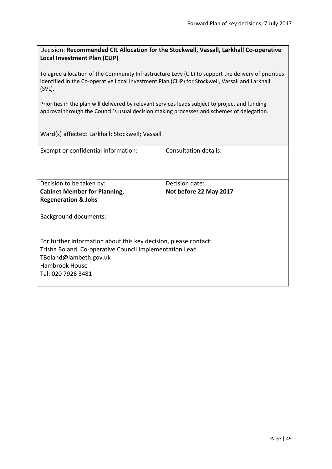Decision: **Recommended CIL Allocation for the Stockwell, Vassall, Larkhall Co-operative Local Investment Plan (CLIP)**

To agree allocation of the Community Infrastructure Levy (CIL) to support the delivery of priorities identified in the Co-operative Local Investment Plan (CLIP) for Stockwell, Vassall and Larkhall (SVL).

Priorities in the plan will delivered by relevant services leads subject to project and funding approval through the Council's usual decision making processes and schemes of delegation.

Ward(s) affected: Larkhall; Stockwell; Vassall

| Exempt or confidential information:                              | Consultation details:  |  |
|------------------------------------------------------------------|------------------------|--|
| Decision to be taken by:                                         | Decision date:         |  |
| <b>Cabinet Member for Planning,</b>                              | Not before 22 May 2017 |  |
| <b>Regeneration &amp; Jobs</b>                                   |                        |  |
| <b>Background documents:</b>                                     |                        |  |
| For further information about this key decision, please contact: |                        |  |
| Trisha Boland, Co-operative Council Implementation Lead          |                        |  |
| TBoland@lambeth.gov.uk                                           |                        |  |
| Hambrook House                                                   |                        |  |
| Tel: 020 7926 3481                                               |                        |  |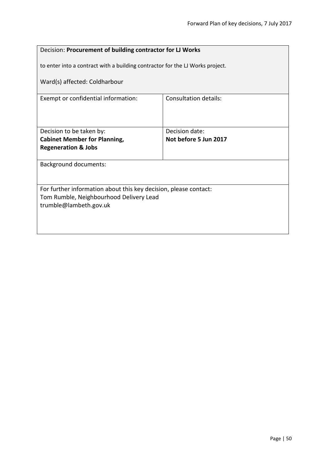| Decision: Procurement of building contractor for LJ Works             |                                                                               |  |
|-----------------------------------------------------------------------|-------------------------------------------------------------------------------|--|
|                                                                       | to enter into a contract with a building contractor for the LJ Works project. |  |
| Ward(s) affected: Coldharbour                                         |                                                                               |  |
| Exempt or confidential information:                                   | <b>Consultation details:</b>                                                  |  |
|                                                                       |                                                                               |  |
| Decision to be taken by:                                              | Decision date:<br>Not before 5 Jun 2017                                       |  |
| <b>Cabinet Member for Planning,</b><br><b>Regeneration &amp; Jobs</b> |                                                                               |  |
|                                                                       |                                                                               |  |
| <b>Background documents:</b>                                          |                                                                               |  |
|                                                                       |                                                                               |  |
| For further information about this key decision, please contact:      |                                                                               |  |
| Tom Rumble, Neighbourhood Delivery Lead                               |                                                                               |  |
| trumble@lambeth.gov.uk                                                |                                                                               |  |
|                                                                       |                                                                               |  |
|                                                                       |                                                                               |  |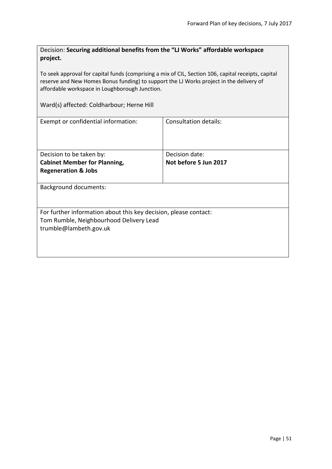| Decision: Securing additional benefits from the "LJ Works" affordable workspace |  |
|---------------------------------------------------------------------------------|--|
| project.                                                                        |  |

To seek approval for capital funds (comprising a mix of CIL, Section 106, capital receipts, capital reserve and New Homes Bonus funding) to support the LJ Works project in the delivery of affordable workspace in Loughborough Junction.

Ward(s) affected: Coldharbour; Herne Hill

| Exempt or confidential information:                              | Consultation details: |
|------------------------------------------------------------------|-----------------------|
| Decision to be taken by:                                         | Decision date:        |
| <b>Cabinet Member for Planning,</b>                              | Not before 5 Jun 2017 |
| <b>Regeneration &amp; Jobs</b>                                   |                       |
| <b>Background documents:</b>                                     |                       |
| For further information about this key decision, please contact: |                       |
| Tom Rumble, Neighbourhood Delivery Lead                          |                       |
| trumble@lambeth.gov.uk                                           |                       |
|                                                                  |                       |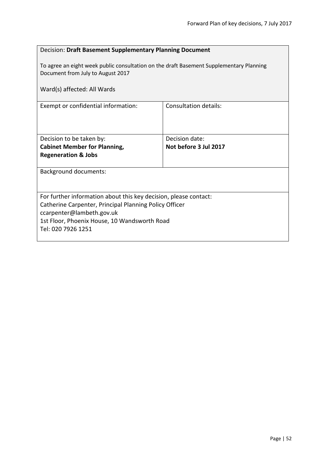| Decision: Draft Basement Supplementary Planning Document                                                                     |                              |  |
|------------------------------------------------------------------------------------------------------------------------------|------------------------------|--|
| To agree an eight week public consultation on the draft Basement Supplementary Planning<br>Document from July to August 2017 |                              |  |
| Ward(s) affected: All Wards                                                                                                  |                              |  |
| Exempt or confidential information:                                                                                          | <b>Consultation details:</b> |  |
|                                                                                                                              |                              |  |
| Decision to be taken by:                                                                                                     | Decision date:               |  |
| <b>Cabinet Member for Planning,</b>                                                                                          | Not before 3 Jul 2017        |  |
| <b>Regeneration &amp; Jobs</b>                                                                                               |                              |  |
| <b>Background documents:</b>                                                                                                 |                              |  |
|                                                                                                                              |                              |  |
| For further information about this key decision, please contact:                                                             |                              |  |
| Catherine Carpenter, Principal Planning Policy Officer                                                                       |                              |  |
| ccarpenter@lambeth.gov.uk                                                                                                    |                              |  |
| 1st Floor, Phoenix House, 10 Wandsworth Road                                                                                 |                              |  |
| Tel: 020 7926 1251                                                                                                           |                              |  |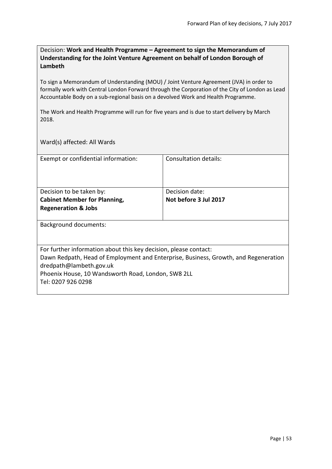Decision: **Work and Health Programme – Agreement to sign the Memorandum of Understanding for the Joint Venture Agreement on behalf of London Borough of Lambeth**

To sign a Memorandum of Understanding (MOU) / Joint Venture Agreement (JVA) in order to formally work with Central London Forward through the Corporation of the City of London as Lead Accountable Body on a sub-regional basis on a devolved Work and Health Programme.

The Work and Health Programme will run for five years and is due to start delivery by March 2018.

| Exempt or confidential information:                                                 | Consultation details: |
|-------------------------------------------------------------------------------------|-----------------------|
| Decision to be taken by:                                                            | Decision date:        |
| <b>Cabinet Member for Planning,</b>                                                 | Not before 3 Jul 2017 |
| <b>Regeneration &amp; Jobs</b>                                                      |                       |
| <b>Background documents:</b>                                                        |                       |
| For further information about this key decision, please contact:                    |                       |
| Dawn Redpath, Head of Employment and Enterprise, Business, Growth, and Regeneration |                       |
| dredpath@lambeth.gov.uk                                                             |                       |
| Phoenix House, 10 Wandsworth Road, London, SW8 2LL                                  |                       |
| Tel: 0207 926 0298                                                                  |                       |
|                                                                                     |                       |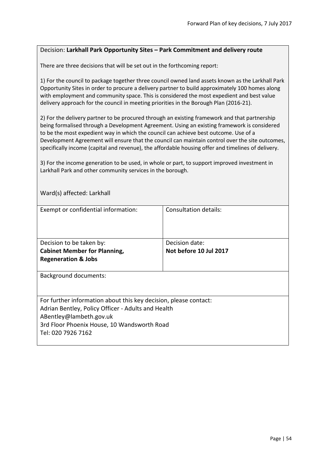#### Decision: **Larkhall Park Opportunity Sites – Park Commitment and delivery route**

There are three decisions that will be set out in the forthcoming report:

1) For the council to package together three council owned land assets known as the Larkhall Park Opportunity Sites in order to procure a delivery partner to build approximately 100 homes along with employment and community space. This is considered the most expedient and best value delivery approach for the council in meeting priorities in the Borough Plan (2016-21).

2) For the delivery partner to be procured through an existing framework and that partnership being formalised through a Development Agreement. Using an existing framework is considered to be the most expedient way in which the council can achieve best outcome. Use of a Development Agreement will ensure that the council can maintain control over the site outcomes, specifically income (capital and revenue), the affordable housing offer and timelines of delivery.

3) For the income generation to be used, in whole or part, to support improved investment in Larkhall Park and other community services in the borough.

| Ward(s) affected: Larkhall                                                    |                        |  |
|-------------------------------------------------------------------------------|------------------------|--|
| Exempt or confidential information:                                           | Consultation details:  |  |
| Decision to be taken by:                                                      | Decision date:         |  |
| <b>Cabinet Member for Planning,</b>                                           | Not before 10 Jul 2017 |  |
| <b>Regeneration &amp; Jobs</b>                                                |                        |  |
| Background documents:                                                         |                        |  |
|                                                                               |                        |  |
| For further information about this key decision, please contact:              |                        |  |
| Adrian Bentley, Policy Officer - Adults and Health<br>ABentley@lambeth.gov.uk |                        |  |
| 3rd Floor Phoenix House, 10 Wandsworth Road                                   |                        |  |
| Tel: 020 7926 7162                                                            |                        |  |
|                                                                               |                        |  |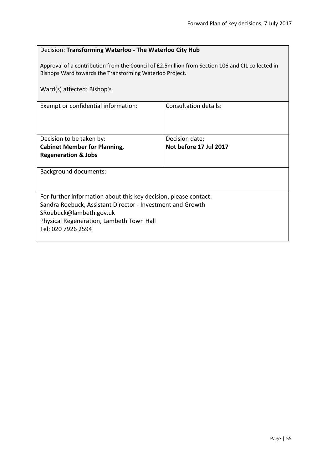$\overline{\phantom{a}}$ 

| Decision: Transforming Waterloo - The Waterloo City Hub                                                                                                                                                                     |                              |  |
|-----------------------------------------------------------------------------------------------------------------------------------------------------------------------------------------------------------------------------|------------------------------|--|
| Approval of a contribution from the Council of £2.5million from Section 106 and CIL collected in<br>Bishops Ward towards the Transforming Waterloo Project.                                                                 |                              |  |
| Ward(s) affected: Bishop's                                                                                                                                                                                                  |                              |  |
| Exempt or confidential information:                                                                                                                                                                                         | <b>Consultation details:</b> |  |
| Decision to be taken by:                                                                                                                                                                                                    | Decision date:               |  |
| <b>Cabinet Member for Planning,</b><br><b>Regeneration &amp; Jobs</b>                                                                                                                                                       | Not before 17 Jul 2017       |  |
|                                                                                                                                                                                                                             |                              |  |
| <b>Background documents:</b>                                                                                                                                                                                                |                              |  |
| For further information about this key decision, please contact:<br>Sandra Roebuck, Assistant Director - Investment and Growth<br>SRoebuck@lambeth.gov.uk<br>Physical Regeneration, Lambeth Town Hall<br>Tel: 020 7926 2594 |                              |  |
|                                                                                                                                                                                                                             |                              |  |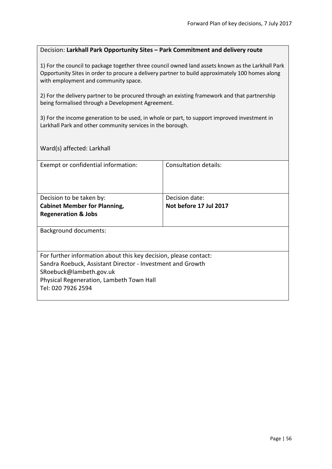#### Decision: **Larkhall Park Opportunity Sites – Park Commitment and delivery route**

1) For the council to package together three council owned land assets known as the Larkhall Park Opportunity Sites in order to procure a delivery partner to build approximately 100 homes along with employment and community space.

2) For the delivery partner to be procured through an existing framework and that partnership being formalised through a Development Agreement.

3) For the income generation to be used, in whole or part, to support improved investment in Larkhall Park and other community services in the borough.

Ward(s) affected: Larkhall

| Exempt or confidential information:                              | Consultation details:  |
|------------------------------------------------------------------|------------------------|
| Decision to be taken by:                                         | Decision date:         |
|                                                                  |                        |
| <b>Cabinet Member for Planning,</b>                              | Not before 17 Jul 2017 |
| <b>Regeneration &amp; Jobs</b>                                   |                        |
| <b>Background documents:</b>                                     |                        |
| For further information about this key decision, please contact: |                        |
| Sandra Roebuck, Assistant Director - Investment and Growth       |                        |
| SRoebuck@lambeth.gov.uk                                          |                        |
| Physical Regeneration, Lambeth Town Hall                         |                        |
| Tel: 020 7926 2594                                               |                        |
|                                                                  |                        |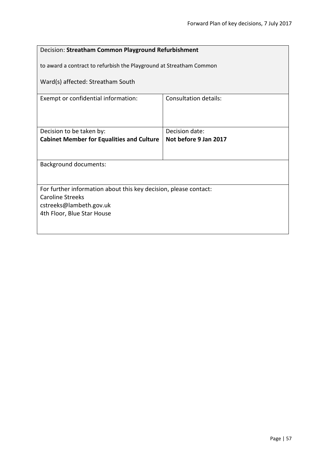| Decision: Streatham Common Playground Refurbishment                                         |                                         |  |
|---------------------------------------------------------------------------------------------|-----------------------------------------|--|
| to award a contract to refurbish the Playground at Streatham Common                         |                                         |  |
| Ward(s) affected: Streatham South                                                           |                                         |  |
| Exempt or confidential information:                                                         | Consultation details:                   |  |
|                                                                                             |                                         |  |
| Decision to be taken by:<br><b>Cabinet Member for Equalities and Culture</b>                | Decision date:<br>Not before 9 Jan 2017 |  |
|                                                                                             |                                         |  |
| <b>Background documents:</b>                                                                |                                         |  |
|                                                                                             |                                         |  |
| For further information about this key decision, please contact:<br><b>Caroline Streeks</b> |                                         |  |
| cstreeks@lambeth.gov.uk                                                                     |                                         |  |
| 4th Floor, Blue Star House                                                                  |                                         |  |
|                                                                                             |                                         |  |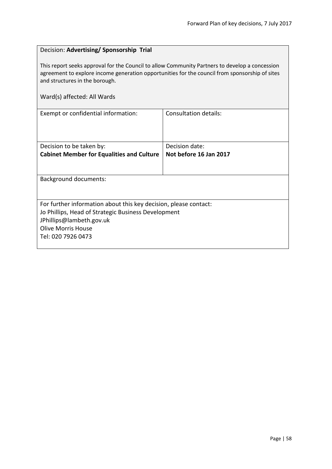# Decision: **Advertising/ Sponsorship Trial** This report seeks approval for the Council to allow Community Partners to develop a concession agreement to explore income generation opportunities for the council from sponsorship of sites and structures in the borough. Ward(s) affected: All Wards Exempt or confidential information: Consultation details: Decision to be taken by: **Cabinet Member for Equalities and Culture** Decision date: **Not before 16 Jan 2017** Background documents: For further information about this key decision, please contact: Jo Phillips, Head of Strategic Business Development JPhillips@lambeth.gov.uk Olive Morris House Tel: 020 7926 0473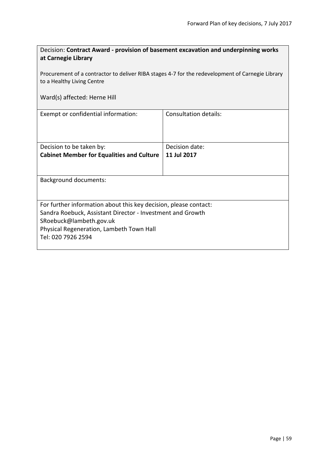| Decision: Contract Award - provision of basement excavation and underpinning works |
|------------------------------------------------------------------------------------|
| at Carnegie Library                                                                |

Procurement of a contractor to deliver RIBA stages 4-7 for the redevelopment of Carnegie Library to a Healthy Living Centre

# Ward(s) affected: Herne Hill

| Exempt or confidential information:                              | Consultation details: |  |
|------------------------------------------------------------------|-----------------------|--|
| Decision to be taken by:                                         | Decision date:        |  |
| <b>Cabinet Member for Equalities and Culture</b>                 | 11 Jul 2017           |  |
|                                                                  |                       |  |
| <b>Background documents:</b>                                     |                       |  |
| For further information about this key decision, please contact: |                       |  |
| Sandra Roebuck, Assistant Director - Investment and Growth       |                       |  |
| SRoebuck@lambeth.gov.uk                                          |                       |  |
| Physical Regeneration, Lambeth Town Hall                         |                       |  |
| Tel: 020 7926 2594                                               |                       |  |
|                                                                  |                       |  |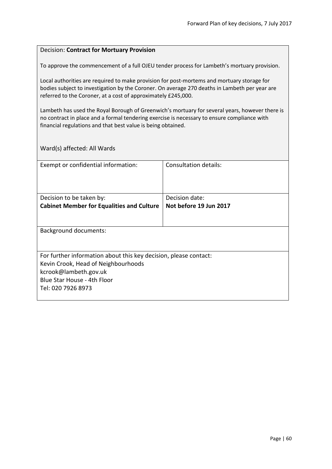#### Decision: **Contract for Mortuary Provision**

To approve the commencement of a full OJEU tender process for Lambeth's mortuary provision.

Local authorities are required to make provision for post-mortems and mortuary storage for bodies subject to investigation by the Coroner. On average 270 deaths in Lambeth per year are referred to the Coroner, at a cost of approximately £245,000.

Lambeth has used the Royal Borough of Greenwich's mortuary for several years, however there is no contract in place and a formal tendering exercise is necessary to ensure compliance with financial regulations and that best value is being obtained.

| Exempt or confidential information:                                                                     | Consultation details:  |
|---------------------------------------------------------------------------------------------------------|------------------------|
| Decision to be taken by:                                                                                | Decision date:         |
| <b>Cabinet Member for Equalities and Culture</b>                                                        | Not before 19 Jun 2017 |
|                                                                                                         |                        |
| <b>Background documents:</b>                                                                            |                        |
| For further information about this key decision, please contact:<br>Kevin Crook, Head of Neighbourhoods |                        |
| kcrook@lambeth.gov.uk                                                                                   |                        |
| Blue Star House - 4th Floor                                                                             |                        |
| Tel: 020 7926 8973                                                                                      |                        |
|                                                                                                         |                        |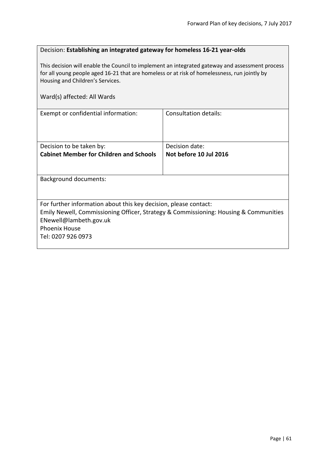#### Decision: **Establishing an integrated gateway for homeless 16-21 year-olds**

This decision will enable the Council to implement an integrated gateway and assessment process for all young people aged 16-21 that are homeless or at risk of homelessness, run jointly by Housing and Children's Services.

| Exempt or confidential information:                                                  | Consultation details:  |
|--------------------------------------------------------------------------------------|------------------------|
|                                                                                      |                        |
|                                                                                      |                        |
|                                                                                      |                        |
| Decision to be taken by:                                                             | Decision date:         |
| <b>Cabinet Member for Children and Schools</b>                                       | Not before 10 Jul 2016 |
|                                                                                      |                        |
|                                                                                      |                        |
| Background documents:                                                                |                        |
|                                                                                      |                        |
|                                                                                      |                        |
| For further information about this key decision, please contact:                     |                        |
| Emily Newell, Commissioning Officer, Strategy & Commissioning: Housing & Communities |                        |
| ENewell@lambeth.gov.uk                                                               |                        |
| <b>Phoenix House</b>                                                                 |                        |
| Tel: 0207 926 0973                                                                   |                        |
|                                                                                      |                        |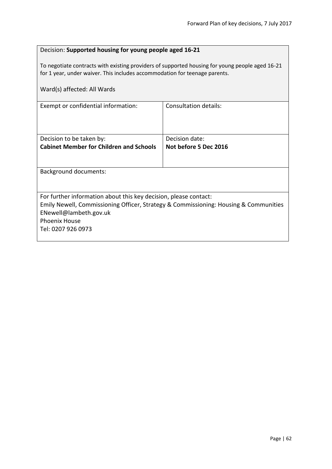| Decision: Supported housing for young people aged 16-21                                                                                                                       |                       |  |
|-------------------------------------------------------------------------------------------------------------------------------------------------------------------------------|-----------------------|--|
| To negotiate contracts with existing providers of supported housing for young people aged 16-21<br>for 1 year, under waiver. This includes accommodation for teenage parents. |                       |  |
| Ward(s) affected: All Wards                                                                                                                                                   |                       |  |
| Exempt or confidential information:                                                                                                                                           | Consultation details: |  |
|                                                                                                                                                                               |                       |  |
| Decision to be taken by:                                                                                                                                                      | Decision date:        |  |
| <b>Cabinet Member for Children and Schools</b>                                                                                                                                | Not before 5 Dec 2016 |  |
|                                                                                                                                                                               |                       |  |
| <b>Background documents:</b>                                                                                                                                                  |                       |  |
|                                                                                                                                                                               |                       |  |
| For further information about this key decision, please contact:                                                                                                              |                       |  |
| Emily Newell, Commissioning Officer, Strategy & Commissioning: Housing & Communities<br>ENewell@lambeth.gov.uk                                                                |                       |  |
| <b>Phoenix House</b>                                                                                                                                                          |                       |  |
| Tel: 0207 926 0973                                                                                                                                                            |                       |  |
|                                                                                                                                                                               |                       |  |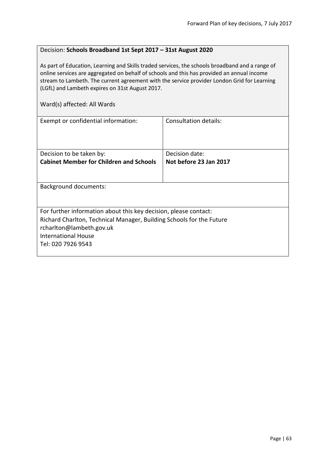#### Decision: **Schools Broadband 1st Sept 2017 – 31st August 2020**

As part of Education, Learning and Skills traded services, the schools broadband and a range of online services are aggregated on behalf of schools and this has provided an annual income stream to Lambeth. The current agreement with the service provider London Grid for Learning (LGfL) and Lambeth expires on 31st August 2017.

| Exempt or confidential information:                                  | Consultation details:  |
|----------------------------------------------------------------------|------------------------|
| Decision to be taken by:                                             | Decision date:         |
| <b>Cabinet Member for Children and Schools</b>                       | Not before 23 Jan 2017 |
| <b>Background documents:</b>                                         |                        |
|                                                                      |                        |
| For further information about this key decision, please contact:     |                        |
| Richard Charlton, Technical Manager, Building Schools for the Future |                        |
| rcharlton@lambeth.gov.uk                                             |                        |
| <b>International House</b>                                           |                        |
| Tel: 020 7926 9543                                                   |                        |
|                                                                      |                        |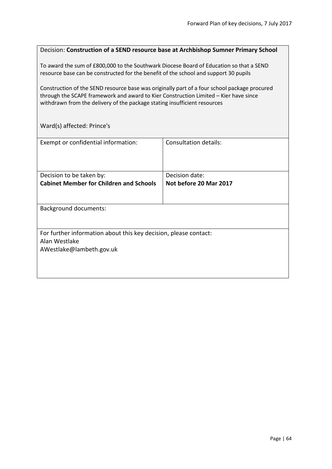| Decision: Construction of a SEND resource base at Archbishop Sumner Primary School                                                                                              |
|---------------------------------------------------------------------------------------------------------------------------------------------------------------------------------|
| To award the sum of £800,000 to the Southwark Diocese Board of Education so that a SEND<br>resource base can be constructed for the benefit of the school and support 30 pupils |
| Construction of the SEND resource base was originally part of a four school package procured                                                                                    |

through the SCAPE framework and award to Kier Construction Limited – Kier have since withdrawn from the delivery of the package stating insufficient resources

Ward(s) affected: Prince's

| Exempt or confidential information:                              | <b>Consultation details:</b> |
|------------------------------------------------------------------|------------------------------|
|                                                                  |                              |
|                                                                  |                              |
|                                                                  |                              |
| Decision to be taken by:                                         | Decision date:               |
| <b>Cabinet Member for Children and Schools</b>                   | Not before 20 Mar 2017       |
|                                                                  |                              |
|                                                                  |                              |
| <b>Background documents:</b>                                     |                              |
|                                                                  |                              |
|                                                                  |                              |
|                                                                  |                              |
| For further information about this key decision, please contact: |                              |
| Alan Westlake                                                    |                              |
| AWestlake@lambeth.gov.uk                                         |                              |
|                                                                  |                              |
|                                                                  |                              |
|                                                                  |                              |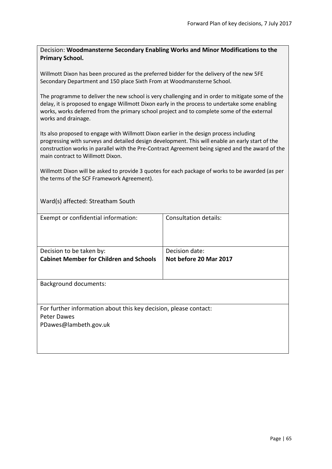#### Decision: **Woodmansterne Secondary Enabling Works and Minor Modifications to the Primary School.**

Willmott Dixon has been procured as the preferred bidder for the delivery of the new 5FE Secondary Department and 150 place Sixth From at Woodmansterne School.

The programme to deliver the new school is very challenging and in order to mitigate some of the delay, it is proposed to engage Willmott Dixon early in the process to undertake some enabling works, works deferred from the primary school project and to complete some of the external works and drainage.

Its also proposed to engage with Willmott Dixon earlier in the design process including progressing with surveys and detailed design development. This will enable an early start of the construction works in parallel with the Pre-Contract Agreement being signed and the award of the main contract to Willmott Dixon.

Willmott Dixon will be asked to provide 3 quotes for each package of works to be awarded (as per the terms of the SCF Framework Agreement).

Ward(s) affected: Streatham South

| Exempt or confidential information:                                                                      | <b>Consultation details:</b>             |
|----------------------------------------------------------------------------------------------------------|------------------------------------------|
| Decision to be taken by:<br><b>Cabinet Member for Children and Schools</b>                               | Decision date:<br>Not before 20 Mar 2017 |
| <b>Background documents:</b>                                                                             |                                          |
| For further information about this key decision, please contact:<br>Peter Dawes<br>PDawes@lambeth.gov.uk |                                          |
|                                                                                                          |                                          |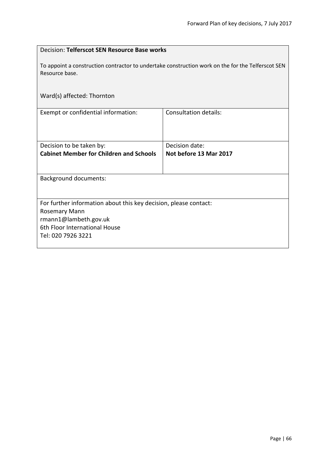| Decision: Telferscot SEN Resource Base works                                                                        |                              |  |
|---------------------------------------------------------------------------------------------------------------------|------------------------------|--|
| To appoint a construction contractor to undertake construction work on the for the Telferscot SEN<br>Resource base. |                              |  |
| Ward(s) affected: Thornton                                                                                          |                              |  |
| Exempt or confidential information:                                                                                 | <b>Consultation details:</b> |  |
| Decision to be taken by:                                                                                            | Decision date:               |  |
| <b>Cabinet Member for Children and Schools</b>                                                                      | Not before 13 Mar 2017       |  |
|                                                                                                                     |                              |  |
| <b>Background documents:</b>                                                                                        |                              |  |
|                                                                                                                     |                              |  |
| For further information about this key decision, please contact:                                                    |                              |  |
| <b>Rosemary Mann</b>                                                                                                |                              |  |
| rmann1@lambeth.gov.uk                                                                                               |                              |  |
| 6th Floor International House                                                                                       |                              |  |
| Tel: 020 7926 3221                                                                                                  |                              |  |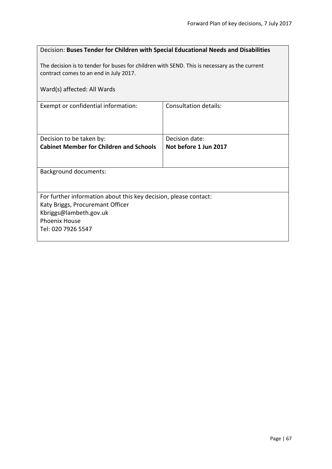| Decision: Buses Tender for Children with Special Educational Needs and Disabilities                                                    |                              |  |
|----------------------------------------------------------------------------------------------------------------------------------------|------------------------------|--|
| The decision is to tender for buses for children with SEND. This is necessary as the current<br>contract comes to an end in July 2017. |                              |  |
| Ward(s) affected: All Wards                                                                                                            |                              |  |
| Exempt or confidential information:                                                                                                    | <b>Consultation details:</b> |  |
|                                                                                                                                        |                              |  |
| Decision to be taken by:                                                                                                               | Decision date:               |  |
| <b>Cabinet Member for Children and Schools</b>                                                                                         | Not before 1 Jun 2017        |  |
| Background documents:                                                                                                                  |                              |  |
|                                                                                                                                        |                              |  |
| For further information about this key decision, please contact:                                                                       |                              |  |
| Katy Briggs, Procuremant Officer<br>Kbriggs@lambeth.gov.uk                                                                             |                              |  |
| <b>Phoenix House</b>                                                                                                                   |                              |  |
| Tel: 020 7926 5547                                                                                                                     |                              |  |